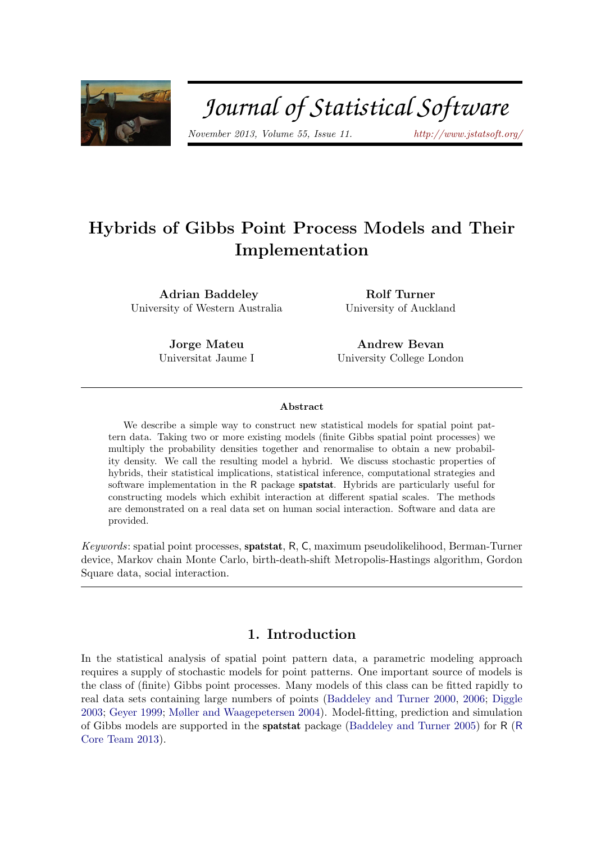

# Journal of Statistical Software

November 2013, Volume 55, Issue 11. <http://www.jstatsoft.org/>

## Hybrids of Gibbs Point Process Models and Their Implementation

Adrian Baddeley University of Western Australia

Rolf Turner University of Auckland

Jorge Mateu Universitat Jaume I

Andrew Bevan University College London

#### Abstract

We describe a simple way to construct new statistical models for spatial point pattern data. Taking two or more existing models (finite Gibbs spatial point processes) we multiply the probability densities together and renormalise to obtain a new probability density. We call the resulting model a hybrid. We discuss stochastic properties of hybrids, their statistical implications, statistical inference, computational strategies and software implementation in the R package spatstat. Hybrids are particularly useful for constructing models which exhibit interaction at different spatial scales. The methods are demonstrated on a real data set on human social interaction. Software and data are provided.

Keywords: spatial point processes, spatstat, R, C, maximum pseudolikelihood, Berman-Turner device, Markov chain Monte Carlo, birth-death-shift Metropolis-Hastings algorithm, Gordon Square data, social interaction.

### 1. Introduction

In the statistical analysis of spatial point pattern data, a parametric modeling approach requires a supply of stochastic models for point patterns. One important source of models is the class of (finite) Gibbs point processes. Many models of this class can be fitted rapidly to real data sets containing large numbers of points [\(Baddeley and Turner](#page-38-0) [2000,](#page-38-0) [2006;](#page-38-1) [Diggle](#page-39-0) [2003;](#page-39-0) [Geyer](#page-39-1) [1999;](#page-39-1) [Møller and Waagepetersen](#page-41-0) [2004\)](#page-41-0). Model-fitting, prediction and simulation of Gibbs models are supported in the spatstat package [\(Baddeley and Turner](#page-38-2) [2005\)](#page-38-2) for R ([R](#page-41-1) [Core Team](#page-41-1) [2013\)](#page-41-1).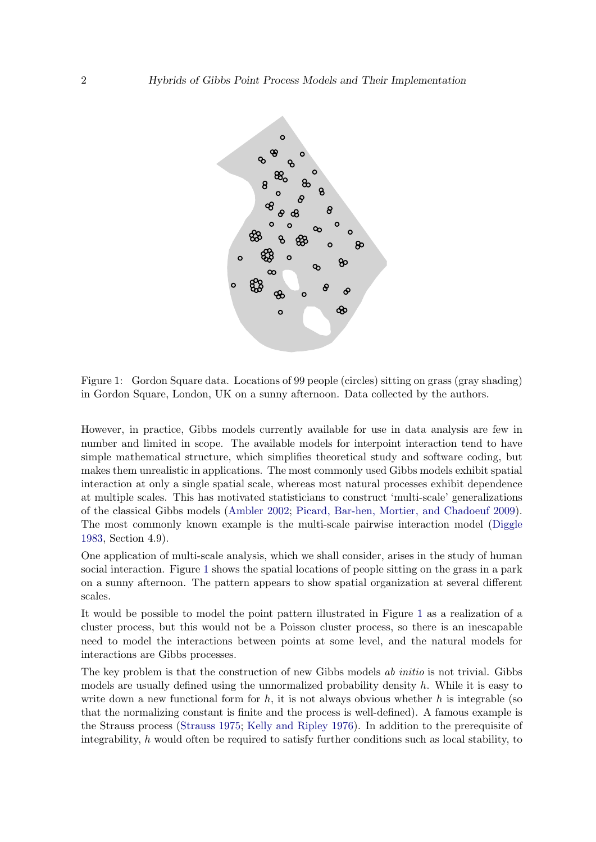

<span id="page-1-0"></span>Figure 1: Gordon Square data. Locations of 99 people (circles) sitting on grass (gray shading) in Gordon Square, London, UK on a sunny afternoon. Data collected by the authors.

However, in practice, Gibbs models currently available for use in data analysis are few in number and limited in scope. The available models for interpoint interaction tend to have simple mathematical structure, which simplifies theoretical study and software coding, but makes them unrealistic in applications. The most commonly used Gibbs models exhibit spatial interaction at only a single spatial scale, whereas most natural processes exhibit dependence at multiple scales. This has motivated statisticians to construct 'multi-scale' generalizations of the classical Gibbs models [\(Ambler](#page-37-0) [2002;](#page-37-0) [Picard, Bar-hen, Mortier, and Chadoeuf](#page-41-2) [2009\)](#page-41-2). The most commonly known example is the multi-scale pairwise interaction model [\(Diggle](#page-39-2) [1983,](#page-39-2) Section 4.9).

One application of multi-scale analysis, which we shall consider, arises in the study of human social interaction. Figure [1](#page-1-0) shows the spatial locations of people sitting on the grass in a park on a sunny afternoon. The pattern appears to show spatial organization at several different scales.

It would be possible to model the point pattern illustrated in Figure [1](#page-1-0) as a realization of a cluster process, but this would not be a Poisson cluster process, so there is an inescapable need to model the interactions between points at some level, and the natural models for interactions are Gibbs processes.

The key problem is that the construction of new Gibbs models ab *initio* is not trivial. Gibbs models are usually defined using the unnormalized probability density  $h$ . While it is easy to write down a new functional form for h, it is not always obvious whether h is integrable (so that the normalizing constant is finite and the process is well-defined). A famous example is the Strauss process [\(Strauss](#page-41-3) [1975;](#page-41-3) [Kelly and Ripley](#page-40-0) [1976\)](#page-40-0). In addition to the prerequisite of integrability,  $h$  would often be required to satisfy further conditions such as local stability, to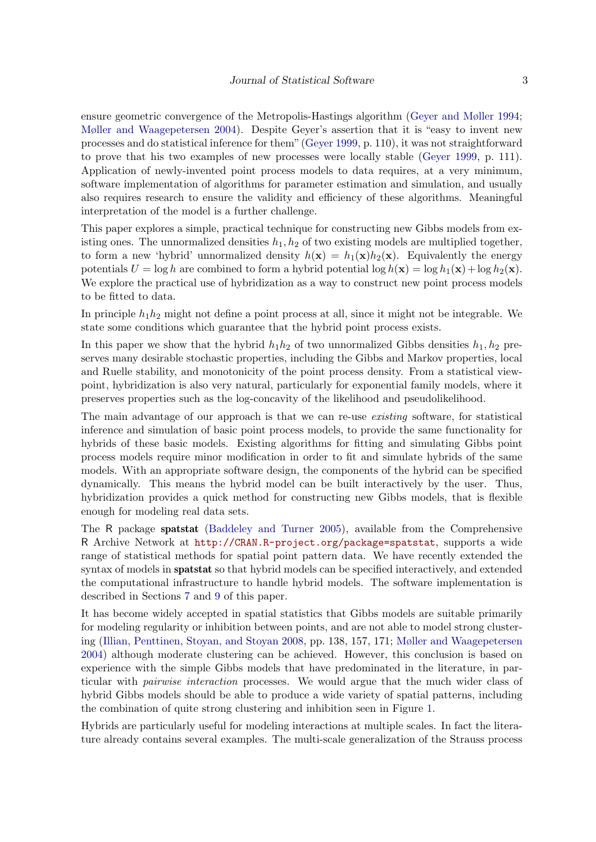ensure geometric convergence of the Metropolis-Hastings algorithm [\(Geyer and Møller](#page-40-1) [1994;](#page-40-1) [Møller and Waagepetersen](#page-41-0) [2004\)](#page-41-0). Despite Geyer's assertion that it is "easy to invent new processes and do statistical inference for them" [\(Geyer](#page-39-1) [1999,](#page-39-1) p. 110), it was not straightforward to prove that his two examples of new processes were locally stable [\(Geyer](#page-39-1) [1999,](#page-39-1) p. 111). Application of newly-invented point process models to data requires, at a very minimum, software implementation of algorithms for parameter estimation and simulation, and usually also requires research to ensure the validity and efficiency of these algorithms. Meaningful interpretation of the model is a further challenge.

This paper explores a simple, practical technique for constructing new Gibbs models from existing ones. The unnormalized densities  $h_1, h_2$  of two existing models are multiplied together, to form a new 'hybrid' unnormalized density  $h(\mathbf{x}) = h_1(\mathbf{x})h_2(\mathbf{x})$ . Equivalently the energy potentials  $U = \log h$  are combined to form a hybrid potential  $\log h(\mathbf{x}) = \log h_1(\mathbf{x}) + \log h_2(\mathbf{x})$ . We explore the practical use of hybridization as a way to construct new point process models to be fitted to data.

In principle  $h_1h_2$  might not define a point process at all, since it might not be integrable. We state some conditions which guarantee that the hybrid point process exists.

In this paper we show that the hybrid  $h_1h_2$  of two unnormalized Gibbs densities  $h_1, h_2$  preserves many desirable stochastic properties, including the Gibbs and Markov properties, local and Ruelle stability, and monotonicity of the point process density. From a statistical viewpoint, hybridization is also very natural, particularly for exponential family models, where it preserves properties such as the log-concavity of the likelihood and pseudolikelihood.

The main advantage of our approach is that we can re-use existing software, for statistical inference and simulation of basic point process models, to provide the same functionality for hybrids of these basic models. Existing algorithms for fitting and simulating Gibbs point process models require minor modification in order to fit and simulate hybrids of the same models. With an appropriate software design, the components of the hybrid can be specified dynamically. This means the hybrid model can be built interactively by the user. Thus, hybridization provides a quick method for constructing new Gibbs models, that is flexible enough for modeling real data sets.

The R package spatstat [\(Baddeley and Turner](#page-38-2) [2005\)](#page-38-2), available from the Comprehensive R Archive Network at <http://CRAN.R-project.org/package=spatstat>, supports a wide range of statistical methods for spatial point pattern data. We have recently extended the syntax of models in **spatstat** so that hybrid models can be specified interactively, and extended the computational infrastructure to handle hybrid models. The software implementation is described in Sections [7](#page-19-0) and [9](#page-24-0) of this paper.

It has become widely accepted in spatial statistics that Gibbs models are suitable primarily for modeling regularity or inhibition between points, and are not able to model strong clustering [\(Illian, Penttinen, Stoyan, and Stoyan](#page-40-2) [2008,](#page-40-2) pp. 138, 157, 171; [Møller and Waagepetersen](#page-41-0) [2004\)](#page-41-0) although moderate clustering can be achieved. However, this conclusion is based on experience with the simple Gibbs models that have predominated in the literature, in particular with pairwise interaction processes. We would argue that the much wider class of hybrid Gibbs models should be able to produce a wide variety of spatial patterns, including the combination of quite strong clustering and inhibition seen in Figure [1.](#page-1-0)

Hybrids are particularly useful for modeling interactions at multiple scales. In fact the literature already contains several examples. The multi-scale generalization of the Strauss process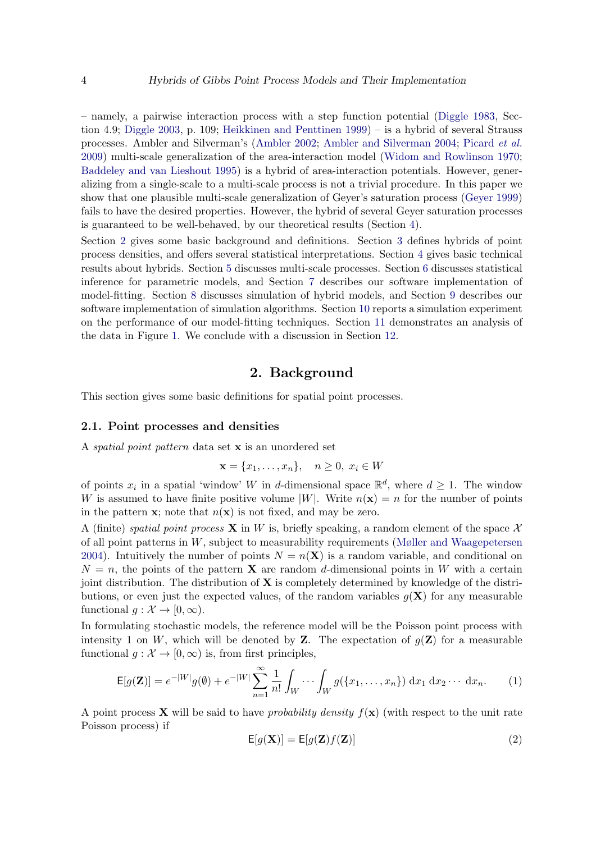– namely, a pairwise interaction process with a step function potential [\(Diggle](#page-39-2) [1983,](#page-39-2) Section 4.9; [Diggle](#page-39-0) [2003,](#page-39-0) p. 109; [Heikkinen and Penttinen](#page-40-3) [1999\)](#page-40-3) – is a hybrid of several Strauss processes. Ambler and Silverman's [\(Ambler](#page-37-0) [2002;](#page-37-0) [Ambler and Silverman](#page-38-3) [2004;](#page-38-3) [Picard](#page-41-2) et al. [2009\)](#page-41-2) multi-scale generalization of the area-interaction model [\(Widom and Rowlinson](#page-42-0) [1970;](#page-42-0) [Baddeley and van Lieshout](#page-39-3) [1995\)](#page-39-3) is a hybrid of area-interaction potentials. However, generalizing from a single-scale to a multi-scale process is not a trivial procedure. In this paper we show that one plausible multi-scale generalization of Geyer's saturation process [\(Geyer](#page-39-1) [1999\)](#page-39-1) fails to have the desired properties. However, the hybrid of several Geyer saturation processes is guaranteed to be well-behaved, by our theoretical results (Section [4\)](#page-9-0).

Section [2](#page-3-0) gives some basic background and definitions. Section [3](#page-8-0) defines hybrids of point process densities, and offers several statistical interpretations. Section [4](#page-9-0) gives basic technical results about hybrids. Section [5](#page-12-0) discusses multi-scale processes. Section [6](#page-15-0) discusses statistical inference for parametric models, and Section [7](#page-19-0) describes our software implementation of model-fitting. Section [8](#page-23-0) discusses simulation of hybrid models, and Section [9](#page-24-0) describes our software implementation of simulation algorithms. Section [10](#page-26-0) reports a simulation experiment on the performance of our model-fitting techniques. Section [11](#page-27-0) demonstrates an analysis of the data in Figure [1.](#page-1-0) We conclude with a discussion in Section [12.](#page-36-0)

### 2. Background

<span id="page-3-0"></span>This section gives some basic definitions for spatial point processes.

#### 2.1. Point processes and densities

A spatial point pattern data set x is an unordered set

$$
\mathbf{x} = \{x_1, \dots, x_n\}, \quad n \ge 0, \ x_i \in W
$$

of points  $x_i$  in a spatial 'window' W in d-dimensional space  $\mathbb{R}^d$ , where  $d \geq 1$ . The window W is assumed to have finite positive volume |W|. Write  $n(\mathbf{x}) = n$  for the number of points in the pattern **x**; note that  $n(\mathbf{x})$  is not fixed, and may be zero.

A (finite) spatial point process **X** in W is, briefly speaking, a random element of the space X of all point patterns in W, subject to measurability requirements [\(Møller and Waagepetersen](#page-41-0) [2004\)](#page-41-0). Intuitively the number of points  $N = n(X)$  is a random variable, and conditional on  $N = n$ , the points of the pattern **X** are random d-dimensional points in W with a certain joint distribution. The distribution of  $X$  is completely determined by knowledge of the distributions, or even just the expected values, of the random variables  $q(X)$  for any measurable functional  $g: \mathcal{X} \to [0, \infty)$ .

In formulating stochastic models, the reference model will be the Poisson point process with intensity 1 on W, which will be denoted by **Z**. The expectation of  $g(\mathbf{Z})$  for a measurable functional  $g: \mathcal{X} \to [0, \infty)$  is, from first principles,

$$
\mathsf{E}[g(\mathbf{Z})] = e^{-|W|}g(\emptyset) + e^{-|W|} \sum_{n=1}^{\infty} \frac{1}{n!} \int_{W} \cdots \int_{W} g(\{x_1, \ldots, x_n\}) \, \mathrm{d}x_1 \, \mathrm{d}x_2 \cdots \, \mathrm{d}x_n. \tag{1}
$$

A point process **X** will be said to have probability density  $f(\mathbf{x})$  (with respect to the unit rate Poisson process) if

$$
E[g(\mathbf{X})] = E[g(\mathbf{Z})f(\mathbf{Z})]
$$
\n(2)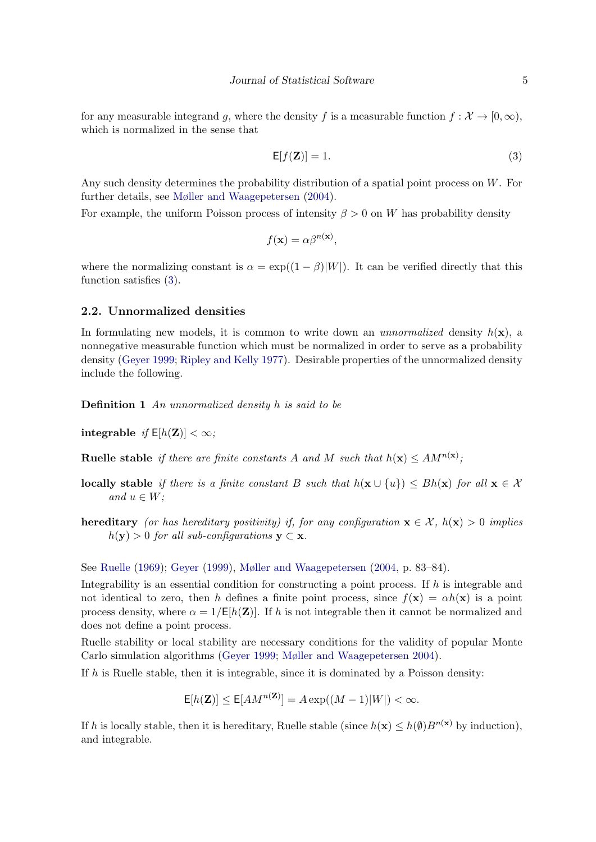for any measurable integrand g, where the density f is a measurable function  $f: \mathcal{X} \to [0, \infty)$ , which is normalized in the sense that

<span id="page-4-0"></span>
$$
\mathsf{E}[f(\mathbf{Z})] = 1. \tag{3}
$$

Any such density determines the probability distribution of a spatial point process on W. For further details, see [Møller and Waagepetersen](#page-41-0) [\(2004\)](#page-41-0).

For example, the uniform Poisson process of intensity  $\beta > 0$  on W has probability density

$$
f(\mathbf{x}) = \alpha \beta^{n(\mathbf{x})},
$$

where the normalizing constant is  $\alpha = \exp((1 - \beta)|W|)$ . It can be verified directly that this function satisfies [\(3\)](#page-4-0).

### 2.2. Unnormalized densities

In formulating new models, it is common to write down an *unnormalized* density  $h(\mathbf{x})$ , a nonnegative measurable function which must be normalized in order to serve as a probability density [\(Geyer](#page-39-1) [1999;](#page-39-1) [Ripley and Kelly](#page-41-4) [1977\)](#page-41-4). Desirable properties of the unnormalized density include the following.

Definition 1 An unnormalized density h is said to be

integrable if  $E[h(\mathbf{Z})] < \infty$ ;

**Ruelle stable** if there are finite constants A and M such that  $h(\mathbf{x}) \leq AM^{n(\mathbf{x})}$ ;

- **locally stable** if there is a finite constant B such that  $h(\mathbf{x} \cup \{u\}) \le Bh(\mathbf{x})$  for all  $\mathbf{x} \in \mathcal{X}$ and  $u \in W$ ;
- hereditary (or has hereditary positivity) if, for any configuration  $\mathbf{x} \in \mathcal{X}$ ,  $h(\mathbf{x}) > 0$  implies  $h(\mathbf{y}) > 0$  for all sub-configurations  $\mathbf{y} \subset \mathbf{x}$ .

See [Ruelle](#page-41-5) [\(1969\)](#page-41-5); [Geyer](#page-39-1) [\(1999\)](#page-39-1), [Møller and Waagepetersen](#page-41-0) [\(2004,](#page-41-0) p. 83–84).

Integrability is an essential condition for constructing a point process. If  $h$  is integrable and not identical to zero, then h defines a finite point process, since  $f(\mathbf{x}) = \alpha h(\mathbf{x})$  is a point process density, where  $\alpha = 1/\mathsf{E}[h(\mathbf{Z})]$ . If h is not integrable then it cannot be normalized and does not define a point process.

Ruelle stability or local stability are necessary conditions for the validity of popular Monte Carlo simulation algorithms [\(Geyer](#page-39-1) [1999;](#page-39-1) [Møller and Waagepetersen](#page-41-0) [2004\)](#page-41-0).

If  $h$  is Ruelle stable, then it is integrable, since it is dominated by a Poisson density:

$$
\mathsf{E}[h(\mathbf{Z})] \le \mathsf{E}[AM^{n(\mathbf{Z})}] = A \exp((M-1)|W|) < \infty.
$$

If h is locally stable, then it is hereditary, Ruelle stable (since  $h(\mathbf{x}) \leq h(\emptyset)B^{n(\mathbf{x})}$  by induction), and integrable.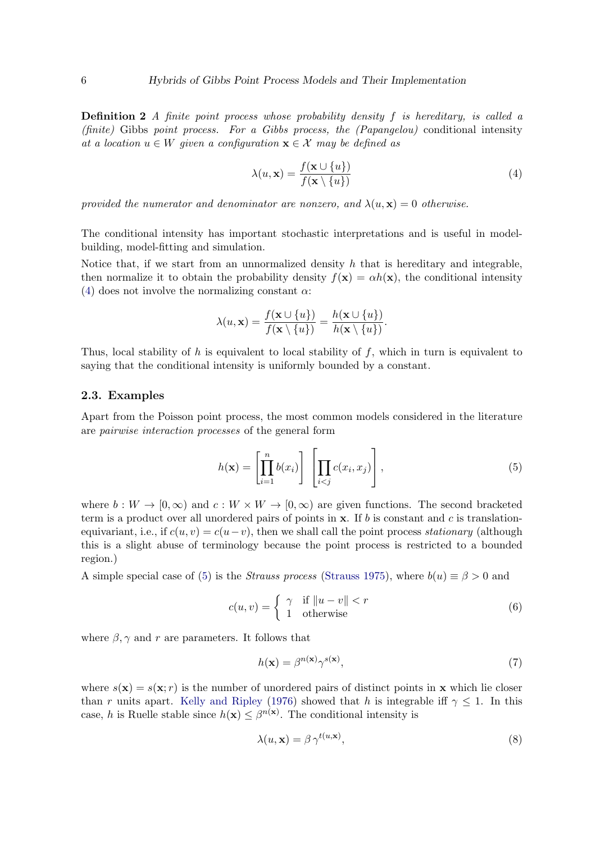**Definition 2** A finite point process whose probability density f is hereditary, is called a (finite) Gibbs point process. For a Gibbs process, the  $(Papangelou)$  conditional intensity at a location  $u \in W$  given a configuration  $\mathbf{x} \in \mathcal{X}$  may be defined as

<span id="page-5-0"></span>
$$
\lambda(u, \mathbf{x}) = \frac{f(\mathbf{x} \cup \{u\})}{f(\mathbf{x} \setminus \{u\})}
$$
(4)

provided the numerator and denominator are nonzero, and  $\lambda(u, \mathbf{x}) = 0$  otherwise.

The conditional intensity has important stochastic interpretations and is useful in modelbuilding, model-fitting and simulation.

Notice that, if we start from an unnormalized density  $h$  that is hereditary and integrable, then normalize it to obtain the probability density  $f(\mathbf{x}) = \alpha h(\mathbf{x})$ , the conditional intensity [\(4\)](#page-5-0) does not involve the normalizing constant  $\alpha$ :

$$
\lambda(u,\mathbf{x}) = \frac{f(\mathbf{x} \cup \{u\})}{f(\mathbf{x} \setminus \{u\})} = \frac{h(\mathbf{x} \cup \{u\})}{h(\mathbf{x} \setminus \{u\})}.
$$

Thus, local stability of h is equivalent to local stability of f, which in turn is equivalent to saying that the conditional intensity is uniformly bounded by a constant.

#### 2.3. Examples

Apart from the Poisson point process, the most common models considered in the literature are pairwise interaction processes of the general form

<span id="page-5-1"></span>
$$
h(\mathbf{x}) = \left[\prod_{i=1}^{n} b(x_i)\right] \left[\prod_{i < j} c(x_i, x_j)\right],\tag{5}
$$

where  $b: W \to [0, \infty)$  and  $c: W \times W \to [0, \infty)$  are given functions. The second bracketed term is a product over all unordered pairs of points in  $x$ . If b is constant and c is translationequivariant, i.e., if  $c(u, v) = c(u - v)$ , then we shall call the point process stationary (although this is a slight abuse of terminology because the point process is restricted to a bounded region.)

A simple special case of [\(5\)](#page-5-1) is the *Strauss process* [\(Strauss](#page-41-3) [1975\)](#page-41-3), where  $b(u) \equiv \beta > 0$  and

<span id="page-5-3"></span>
$$
c(u, v) = \begin{cases} \gamma & \text{if } ||u - v|| < r \\ 1 & \text{otherwise} \end{cases}
$$
 (6)

where  $\beta$ ,  $\gamma$  and r are parameters. It follows that

<span id="page-5-2"></span>
$$
h(\mathbf{x}) = \beta^{n(\mathbf{x})} \gamma^{s(\mathbf{x})},\tag{7}
$$

where  $s(\mathbf{x}) = s(\mathbf{x}; r)$  is the number of unordered pairs of distinct points in **x** which lie closer than r units apart. [Kelly and Ripley](#page-40-0) [\(1976\)](#page-40-0) showed that h is integrable iff  $\gamma \leq 1$ . In this case, h is Ruelle stable since  $h(\mathbf{x}) \leq \beta^{n(\mathbf{x})}$ . The conditional intensity is

$$
\lambda(u, \mathbf{x}) = \beta \, \gamma^{t(u, \mathbf{x})},\tag{8}
$$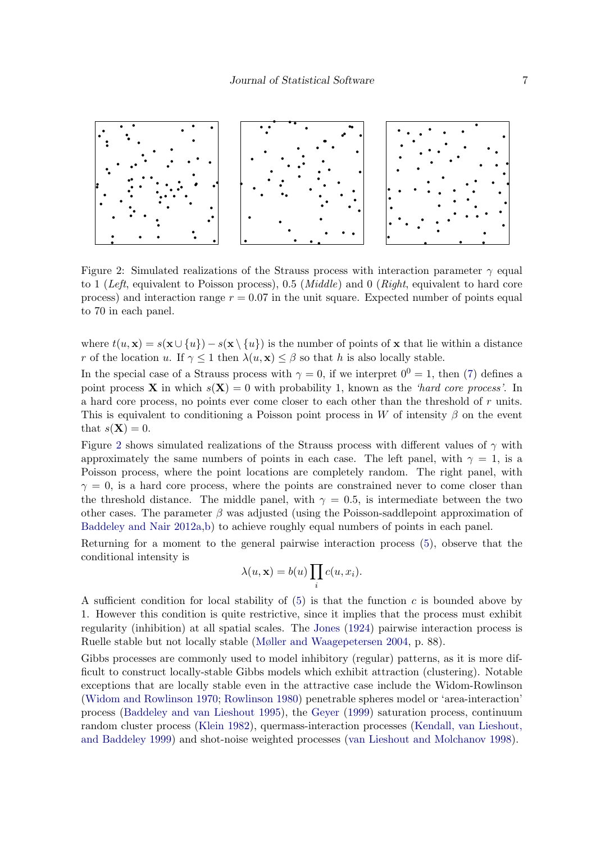

<span id="page-6-0"></span>Figure 2: Simulated realizations of the Strauss process with interaction parameter  $\gamma$  equal to 1 (Left, equivalent to Poisson process), 0.5 (*Middle*) and 0 (*Right*, equivalent to hard core process) and interaction range  $r = 0.07$  in the unit square. Expected number of points equal to 70 in each panel.

where  $t(u, x) = s(x \cup \{u\}) - s(x \setminus \{u\})$  is the number of points of x that lie within a distance r of the location u. If  $\gamma < 1$  then  $\lambda(u, \mathbf{x}) < \beta$  so that h is also locally stable.

In the special case of a Strauss process with  $\gamma = 0$ , if we interpret  $0^0 = 1$ , then [\(7\)](#page-5-2) defines a point process **X** in which  $s(X) = 0$  with probability 1, known as the 'hard core process'. In a hard core process, no points ever come closer to each other than the threshold of r units. This is equivalent to conditioning a Poisson point process in W of intensity  $\beta$  on the event that  $s(\mathbf{X}) = 0$ .

Figure [2](#page-6-0) shows simulated realizations of the Strauss process with different values of  $\gamma$  with approximately the same numbers of points in each case. The left panel, with  $\gamma = 1$ , is a Poisson process, where the point locations are completely random. The right panel, with  $\gamma = 0$ , is a hard core process, where the points are constrained never to come closer than the threshold distance. The middle panel, with  $\gamma = 0.5$ , is intermediate between the two other cases. The parameter  $\beta$  was adjusted (using the Poisson-saddlepoint approximation of [Baddeley and Nair](#page-38-4) [2012a](#page-38-4)[,b\)](#page-38-5) to achieve roughly equal numbers of points in each panel.

Returning for a moment to the general pairwise interaction process [\(5\)](#page-5-1), observe that the conditional intensity is

$$
\lambda(u, \mathbf{x}) = b(u) \prod_i c(u, x_i).
$$

A sufficient condition for local stability of  $(5)$  is that the function c is bounded above by 1. However this condition is quite restrictive, since it implies that the process must exhibit regularity (inhibition) at all spatial scales. The [Jones](#page-40-4) [\(1924\)](#page-40-4) pairwise interaction process is Ruelle stable but not locally stable [\(Møller and Waagepetersen](#page-41-0) [2004,](#page-41-0) p. 88).

Gibbs processes are commonly used to model inhibitory (regular) patterns, as it is more difficult to construct locally-stable Gibbs models which exhibit attraction (clustering). Notable exceptions that are locally stable even in the attractive case include the Widom-Rowlinson [\(Widom and Rowlinson](#page-42-0) [1970;](#page-42-0) [Rowlinson](#page-41-6) [1980\)](#page-41-6) penetrable spheres model or 'area-interaction' process [\(Baddeley and van Lieshout](#page-39-3) [1995\)](#page-39-3), the [Geyer](#page-39-1) [\(1999\)](#page-39-1) saturation process, continuum random cluster process [\(Klein](#page-40-5) [1982\)](#page-40-5), quermass-interaction processes [\(Kendall, van Lieshout,](#page-40-6) [and Baddeley](#page-40-6) [1999\)](#page-40-6) and shot-noise weighted processes [\(van Lieshout and Molchanov](#page-41-7) [1998\)](#page-41-7).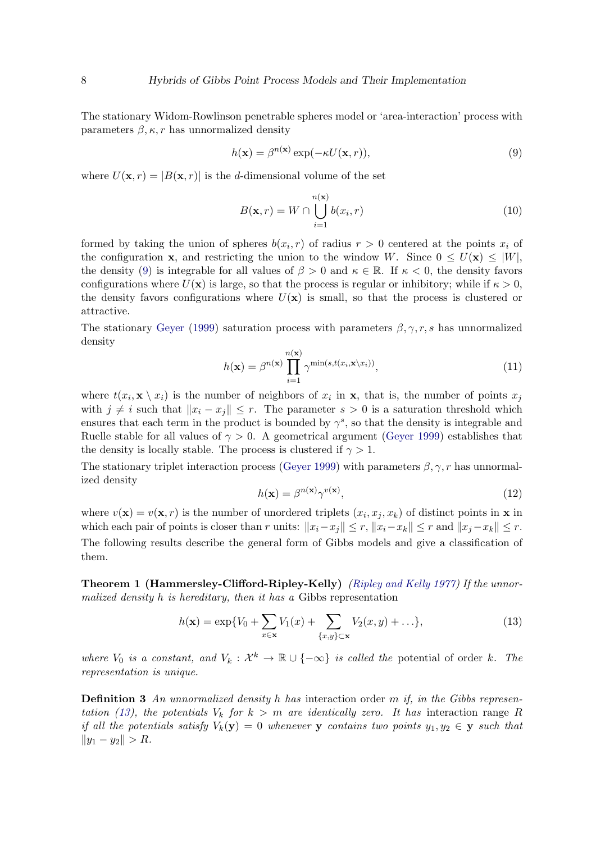The stationary Widom-Rowlinson penetrable spheres model or 'area-interaction' process with parameters  $\beta, \kappa, r$  has unnormalized density

<span id="page-7-0"></span>
$$
h(\mathbf{x}) = \beta^{n(\mathbf{x})} \exp(-\kappa U(\mathbf{x}, r)),\tag{9}
$$

where  $U(\mathbf{x}, r) = |B(\mathbf{x}, r)|$  is the d-dimensional volume of the set

<span id="page-7-4"></span>
$$
B(\mathbf{x}, r) = W \cap \bigcup_{i=1}^{n(\mathbf{x})} b(x_i, r)
$$
\n(10)

formed by taking the union of spheres  $b(x_i, r)$  of radius  $r > 0$  centered at the points  $x_i$  of the configuration **x**, and restricting the union to the window W. Since  $0 \leq U(\mathbf{x}) \leq |W|$ , the density [\(9\)](#page-7-0) is integrable for all values of  $\beta > 0$  and  $\kappa \in \mathbb{R}$ . If  $\kappa < 0$ , the density favors configurations where  $U(\mathbf{x})$  is large, so that the process is regular or inhibitory; while if  $\kappa > 0$ , the density favors configurations where  $U(\mathbf{x})$  is small, so that the process is clustered or attractive.

The stationary [Geyer](#page-39-1) [\(1999\)](#page-39-1) saturation process with parameters  $\beta, \gamma, r, s$  has unnormalized density

<span id="page-7-3"></span>
$$
h(\mathbf{x}) = \beta^{n(\mathbf{x})} \prod_{i=1}^{n(\mathbf{x})} \gamma^{\min(s, t(x_i, \mathbf{x} \setminus x_i))}, \qquad (11)
$$

where  $t(x_i, \mathbf{x} \setminus x_i)$  is the number of neighbors of  $x_i$  in  $\mathbf{x}$ , that is, the number of points  $x_j$ with  $j \neq i$  such that  $||x_i - x_j|| \leq r$ . The parameter  $s > 0$  is a saturation threshold which ensures that each term in the product is bounded by  $\gamma^s$ , so that the density is integrable and Ruelle stable for all values of  $\gamma > 0$ . A geometrical argument [\(Geyer](#page-39-1) [1999\)](#page-39-1) establishes that the density is locally stable. The process is clustered if  $\gamma > 1$ .

The stationary triplet interaction process [\(Geyer](#page-39-1) [1999\)](#page-39-1) with parameters  $\beta, \gamma, r$  has unnormalized density

<span id="page-7-2"></span>
$$
h(\mathbf{x}) = \beta^{n(\mathbf{x})} \gamma^{v(\mathbf{x})},\tag{12}
$$

where  $v(\mathbf{x}) = v(\mathbf{x}, r)$  is the number of unordered triplets  $(x_i, x_j, x_k)$  of distinct points in **x** in which each pair of points is closer than r units:  $||x_i-x_j|| \leq r, ||x_i-x_k|| \leq r$  and  $||x_j-x_k|| \leq r$ . The following results describe the general form of Gibbs models and give a classification of them.

Theorem 1 (Hammersley-Clifford-Ripley-Kelly) [\(Ripley and Kelly](#page-41-4) [1977\)](#page-41-4) If the unnormalized density h is hereditary, then it has a Gibbs representation

<span id="page-7-1"></span>
$$
h(\mathbf{x}) = \exp\{V_0 + \sum_{x \in \mathbf{x}} V_1(x) + \sum_{\{x,y\} \subset \mathbf{x}} V_2(x,y) + \ldots\},\tag{13}
$$

where  $V_0$  is a constant, and  $V_k: \mathcal{X}^k \to \mathbb{R} \cup \{-\infty\}$  is called the potential of order k. The representation is unique.

**Definition 3** An unnormalized density h has interaction order m if, in the Gibbs represen-tation [\(13\)](#page-7-1), the potentials  $V_k$  for  $k > m$  are identically zero. It has interaction range R if all the potentials satisfy  $V_k(\mathbf{y}) = 0$  whenever y contains two points  $y_1, y_2 \in \mathbf{y}$  such that  $||y_1 - y_2|| > R.$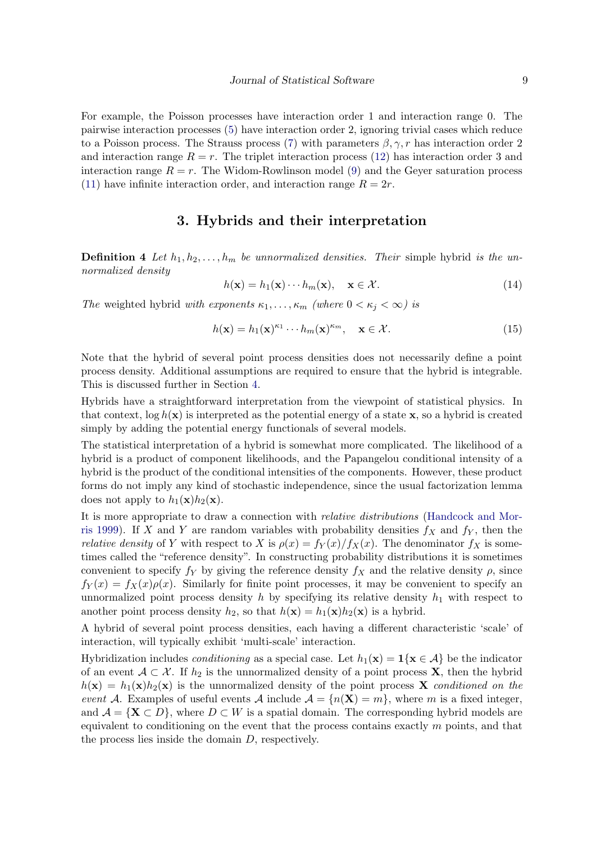For example, the Poisson processes have interaction order 1 and interaction range 0. The pairwise interaction processes [\(5\)](#page-5-1) have interaction order 2, ignoring trivial cases which reduce to a Poisson process. The Strauss process [\(7\)](#page-5-2) with parameters  $\beta, \gamma, r$  has interaction order 2 and interaction range  $R = r$ . The triplet interaction process [\(12\)](#page-7-2) has interaction order 3 and interaction range  $R = r$ . The Widom-Rowlinson model [\(9\)](#page-7-0) and the Gever saturation process [\(11\)](#page-7-3) have infinite interaction order, and interaction range  $R = 2r$ .

### 3. Hybrids and their interpretation

<span id="page-8-0"></span>**Definition 4** Let  $h_1, h_2, \ldots, h_m$  be unnormalized densities. Their simple hybrid is the unnormalized density

$$
h(\mathbf{x}) = h_1(\mathbf{x}) \cdots h_m(\mathbf{x}), \quad \mathbf{x} \in \mathcal{X}.
$$
 (14)

The weighted hybrid with exponents  $\kappa_1, \ldots, \kappa_m$  (where  $0 < \kappa_j < \infty$ ) is

<span id="page-8-1"></span>
$$
h(\mathbf{x}) = h_1(\mathbf{x})^{\kappa_1} \cdots h_m(\mathbf{x})^{\kappa_m}, \quad \mathbf{x} \in \mathcal{X}.
$$
 (15)

Note that the hybrid of several point process densities does not necessarily define a point process density. Additional assumptions are required to ensure that the hybrid is integrable. This is discussed further in Section [4.](#page-9-0)

Hybrids have a straightforward interpretation from the viewpoint of statistical physics. In that context,  $\log h(\mathbf{x})$  is interpreted as the potential energy of a state x, so a hybrid is created simply by adding the potential energy functionals of several models.

The statistical interpretation of a hybrid is somewhat more complicated. The likelihood of a hybrid is a product of component likelihoods, and the Papangelou conditional intensity of a hybrid is the product of the conditional intensities of the components. However, these product forms do not imply any kind of stochastic independence, since the usual factorization lemma does not apply to  $h_1(\mathbf{x})h_2(\mathbf{x})$ .

It is more appropriate to draw a connection with relative distributions [\(Handcock and Mor](#page-40-7)[ris](#page-40-7) [1999\)](#page-40-7). If X and Y are random variables with probability densities  $f_X$  and  $f_Y$ , then the *relative density* of Y with respect to X is  $\rho(x) = f_Y(x)/f_X(x)$ . The denominator  $f_X$  is sometimes called the "reference density". In constructing probability distributions it is sometimes convenient to specify  $f_Y$  by giving the reference density  $f_X$  and the relative density  $\rho$ , since  $f_Y(x) = f_X(x)\rho(x)$ . Similarly for finite point processes, it may be convenient to specify an unnormalized point process density  $h$  by specifying its relative density  $h_1$  with respect to another point process density  $h_2$ , so that  $h(\mathbf{x}) = h_1(\mathbf{x})h_2(\mathbf{x})$  is a hybrid.

A hybrid of several point process densities, each having a different characteristic 'scale' of interaction, will typically exhibit 'multi-scale' interaction.

Hybridization includes *conditioning* as a special case. Let  $h_1(\mathbf{x}) = \mathbf{1}\{\mathbf{x} \in \mathcal{A}\}\$ be the indicator of an event  $A \subset \mathcal{X}$ . If  $h_2$  is the unnormalized density of a point process **X**, then the hybrid  $h(\mathbf{x}) = h_1(\mathbf{x})h_2(\mathbf{x})$  is the unnormalized density of the point process **X** conditioned on the event A. Examples of useful events A include  $A = \{n(\mathbf{X}) = m\}$ , where m is a fixed integer, and  $\mathcal{A} = \{ \mathbf{X} \subset D \}$ , where  $D \subset W$  is a spatial domain. The corresponding hybrid models are equivalent to conditioning on the event that the process contains exactly  $m$  points, and that the process lies inside the domain D, respectively.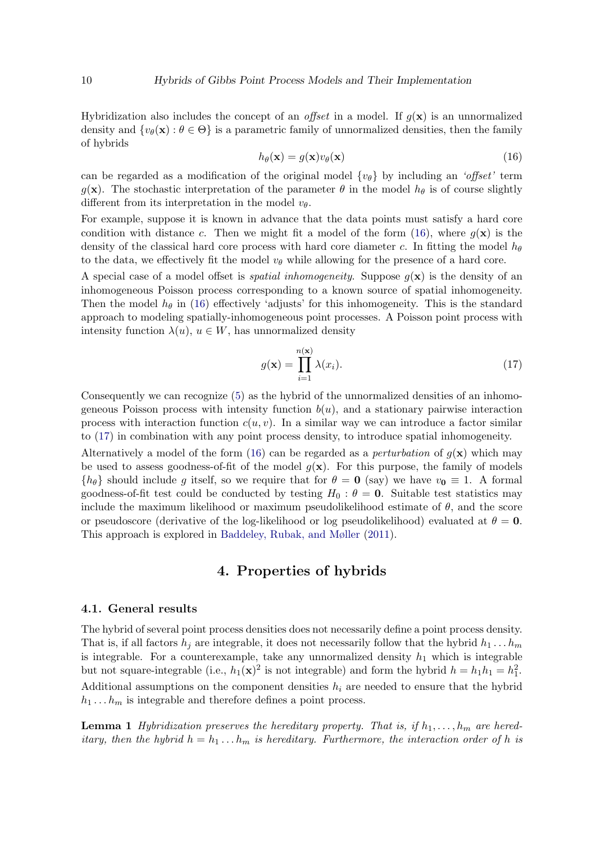Hybridization also includes the concept of an *offset* in a model. If  $q(\mathbf{x})$  is an unnormalized density and  $\{v_{\theta}(\mathbf{x}) : \theta \in \Theta\}$  is a parametric family of unnormalized densities, then the family of hybrids

<span id="page-9-1"></span>
$$
h_{\theta}(\mathbf{x}) = g(\mathbf{x})v_{\theta}(\mathbf{x})
$$
\n(16)

can be regarded as a modification of the original model  $\{v_\theta\}$  by including an 'offset' term g(x). The stochastic interpretation of the parameter  $\theta$  in the model  $h_{\theta}$  is of course slightly different from its interpretation in the model  $v_{\theta}$ .

For example, suppose it is known in advance that the data points must satisfy a hard core condition with distance c. Then we might fit a model of the form [\(16\)](#page-9-1), where  $q(\mathbf{x})$  is the density of the classical hard core process with hard core diameter c. In fitting the model  $h_{\theta}$ to the data, we effectively fit the model  $v_{\theta}$  while allowing for the presence of a hard core.

A special case of a model offset is *spatial inhomogeneity*. Suppose  $g(\mathbf{x})$  is the density of an inhomogeneous Poisson process corresponding to a known source of spatial inhomogeneity. Then the model  $h_{\theta}$  in [\(16\)](#page-9-1) effectively 'adjusts' for this inhomogeneity. This is the standard approach to modeling spatially-inhomogeneous point processes. A Poisson point process with intensity function  $\lambda(u)$ ,  $u \in W$ , has unnormalized density

<span id="page-9-2"></span>
$$
g(\mathbf{x}) = \prod_{i=1}^{n(\mathbf{x})} \lambda(x_i).
$$
 (17)

Consequently we can recognize [\(5\)](#page-5-1) as the hybrid of the unnormalized densities of an inhomogeneous Poisson process with intensity function  $b(u)$ , and a stationary pairwise interaction process with interaction function  $c(u, v)$ . In a similar way we can introduce a factor similar to [\(17\)](#page-9-2) in combination with any point process density, to introduce spatial inhomogeneity.

Alternatively a model of the form [\(16\)](#page-9-1) can be regarded as a *perturbation* of  $g(x)$  which may be used to assess goodness-of-fit of the model  $q(\mathbf{x})$ . For this purpose, the family of models  ${h_\theta}$  should include g itself, so we require that for  $\theta = 0$  (say) we have  $v_0 \equiv 1$ . A formal goodness-of-fit test could be conducted by testing  $H_0$ :  $\theta = 0$ . Suitable test statistics may include the maximum likelihood or maximum pseudolikelihood estimate of  $\theta$ , and the score or pseudoscore (derivative of the log-likelihood or log pseudolikelihood) evaluated at  $\theta = 0$ . This approach is explored in [Baddeley, Rubak, and Møller](#page-38-6) [\(2011\)](#page-38-6).

### 4. Properties of hybrids

#### <span id="page-9-0"></span>4.1. General results

The hybrid of several point process densities does not necessarily define a point process density. That is, if all factors  $h_i$  are integrable, it does not necessarily follow that the hybrid  $h_1 \ldots h_m$ is integrable. For a counterexample, take any unnormalized density  $h_1$  which is integrable but not square-integrable (i.e.,  $h_1(\mathbf{x})^2$  is not integrable) and form the hybrid  $h = h_1 h_1 = h_1^2$ . Additional assumptions on the component densities  $h_i$  are needed to ensure that the hybrid  $h_1 \ldots h_m$  is integrable and therefore defines a point process.

<span id="page-9-3"></span>**Lemma 1** Hybridization preserves the hereditary property. That is, if  $h_1, \ldots, h_m$  are hereditary, then the hybrid  $h = h_1 \dots h_m$  is hereditary. Furthermore, the interaction order of h is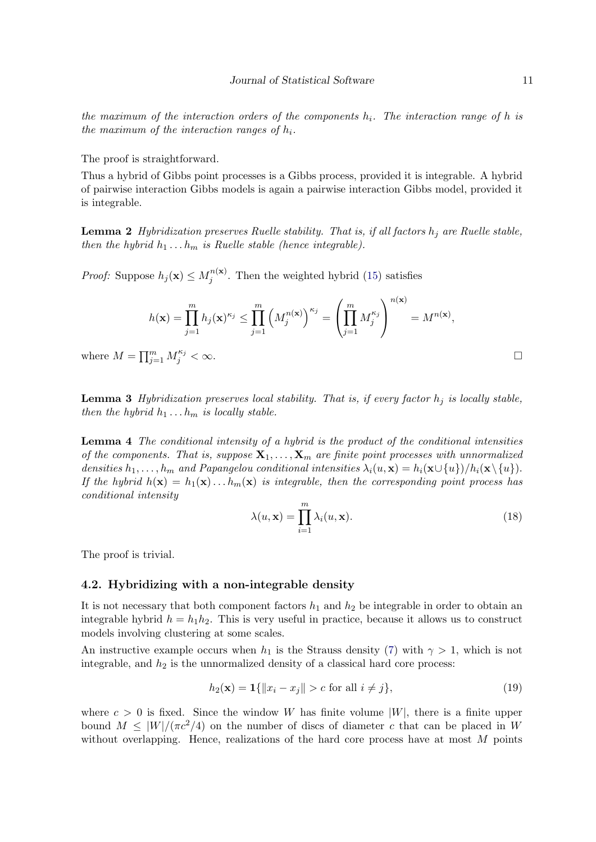the maximum of the interaction orders of the components  $h_i$ . The interaction range of h is the maximum of the interaction ranges of  $h_i$ .

The proof is straightforward.

Thus a hybrid of Gibbs point processes is a Gibbs process, provided it is integrable. A hybrid of pairwise interaction Gibbs models is again a pairwise interaction Gibbs model, provided it is integrable.

**Lemma 2** Hybridization preserves Ruelle stability. That is, if all factors  $h_i$  are Ruelle stable, then the hybrid  $h_1 \ldots h_m$  is Ruelle stable (hence integrable).

*Proof:* Suppose  $h_j(\mathbf{x}) \leq M_j^{n(\mathbf{x})}$  $j^{n(\mathbf{x})}$ . Then the weighted hybrid [\(15\)](#page-8-1) satisfies

$$
h(\mathbf{x}) = \prod_{j=1}^m h_j(\mathbf{x})^{\kappa_j} \le \prod_{j=1}^m \left( M_j^{n(\mathbf{x})} \right)^{\kappa_j} = \left( \prod_{j=1}^m M_j^{\kappa_j} \right)^{n(\mathbf{x})} = M^{n(\mathbf{x})},
$$

where  $M = \prod_{j=1}^m M_j^{\kappa_j} < \infty$ .

<span id="page-10-2"></span>**Lemma 3** Hybridization preserves local stability. That is, if every factor  $h_i$  is locally stable, then the hybrid  $h_1 \ldots h_m$  is locally stable.

<span id="page-10-3"></span>Lemma 4 The conditional intensity of a hybrid is the product of the conditional intensities of the components. That is, suppose  $X_1, \ldots, X_m$  are finite point processes with unnormalized densities  $h_1, \ldots, h_m$  and Papangelou conditional intensities  $\lambda_i(u, \mathbf{x}) = h_i(\mathbf{x} \cup \{u\})/h_i(\mathbf{x} \setminus \{u\}).$ If the hybrid  $h(\mathbf{x}) = h_1(\mathbf{x}) \dots h_m(\mathbf{x})$  is integrable, then the corresponding point process has conditional intensity

$$
\lambda(u, \mathbf{x}) = \prod_{i=1}^{m} \lambda_i(u, \mathbf{x}).
$$
\n(18)

The proof is trivial.

#### <span id="page-10-1"></span>4.2. Hybridizing with a non-integrable density

It is not necessary that both component factors  $h_1$  and  $h_2$  be integrable in order to obtain an integrable hybrid  $h = h_1 h_2$ . This is very useful in practice, because it allows us to construct models involving clustering at some scales.

An instructive example occurs when  $h_1$  is the Strauss density [\(7\)](#page-5-2) with  $\gamma > 1$ , which is not integrable, and  $h_2$  is the unnormalized density of a classical hard core process:

<span id="page-10-0"></span>
$$
h_2(\mathbf{x}) = \mathbf{1}\{\|x_i - x_j\| > c \text{ for all } i \neq j\},\tag{19}
$$

where  $c > 0$  is fixed. Since the window W has finite volume  $|W|$ , there is a finite upper bound  $M \leq |W|/(\pi c^2/4)$  on the number of discs of diameter c that can be placed in W without overlapping. Hence, realizations of the hard core process have at most  $M$  points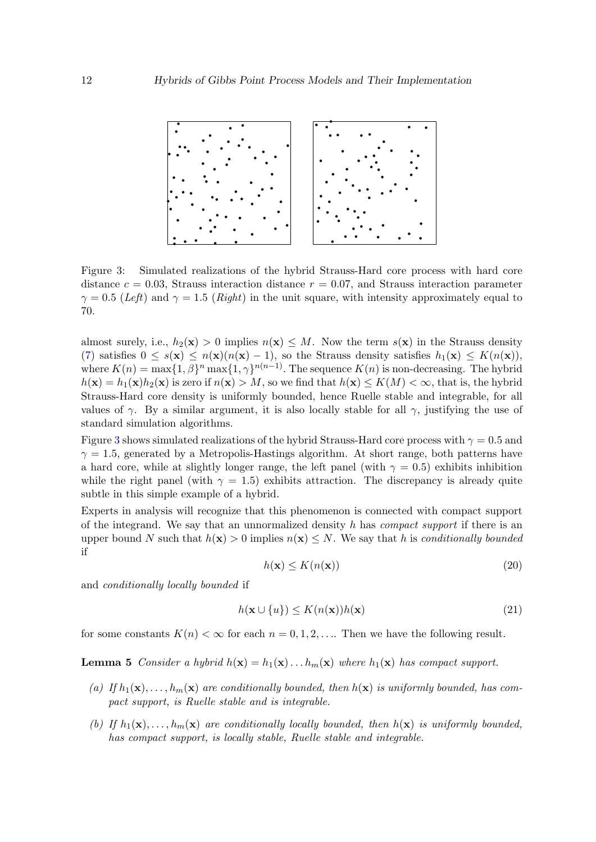

<span id="page-11-0"></span>Figure 3: Simulated realizations of the hybrid Strauss-Hard core process with hard core distance  $c = 0.03$ , Strauss interaction distance  $r = 0.07$ , and Strauss interaction parameter  $\gamma = 0.5$  (Left) and  $\gamma = 1.5$  (Right) in the unit square, with intensity approximately equal to 70.

almost surely, i.e.,  $h_2(\mathbf{x}) > 0$  implies  $n(\mathbf{x}) \leq M$ . Now the term  $s(\mathbf{x})$  in the Strauss density [\(7\)](#page-5-2) satisfies  $0 \le s(\mathbf{x}) \le n(\mathbf{x})(n(\mathbf{x})-1)$ , so the Strauss density satisfies  $h_1(\mathbf{x}) \le K(n(\mathbf{x}))$ , where  $K(n) = \max\{1, \beta\}^n \max\{1, \gamma\}^{n(n-1)}$ . The sequence  $K(n)$  is non-decreasing. The hybrid  $h(\mathbf{x}) = h_1(\mathbf{x})h_2(\mathbf{x})$  is zero if  $n(\mathbf{x}) > M$ , so we find that  $h(\mathbf{x}) \le K(M) < \infty$ , that is, the hybrid Strauss-Hard core density is uniformly bounded, hence Ruelle stable and integrable, for all values of  $\gamma$ . By a similar argument, it is also locally stable for all  $\gamma$ , justifying the use of standard simulation algorithms.

Figure [3](#page-11-0) shows simulated realizations of the hybrid Strauss-Hard core process with  $\gamma = 0.5$  and  $\gamma = 1.5$ , generated by a Metropolis-Hastings algorithm. At short range, both patterns have a hard core, while at slightly longer range, the left panel (with  $\gamma = 0.5$ ) exhibits inhibition while the right panel (with  $\gamma = 1.5$ ) exhibits attraction. The discrepancy is already quite subtle in this simple example of a hybrid.

Experts in analysis will recognize that this phenomenon is connected with compact support of the integrand. We say that an unnormalized density h has *compact support* if there is an upper bound N such that  $h(\mathbf{x}) > 0$  implies  $n(\mathbf{x}) \leq N$ . We say that h is conditionally bounded if

$$
h(\mathbf{x}) \le K(n(\mathbf{x}))\tag{20}
$$

and conditionally locally bounded if

$$
h(\mathbf{x} \cup \{u\}) \le K(n(\mathbf{x}))h(\mathbf{x})\tag{21}
$$

<span id="page-11-1"></span>for some constants  $K(n) < \infty$  for each  $n = 0, 1, 2, \ldots$  Then we have the following result.

**Lemma 5** Consider a hybrid  $h(\mathbf{x}) = h_1(\mathbf{x}) \dots h_m(\mathbf{x})$  where  $h_1(\mathbf{x})$  has compact support.

- (a) If  $h_1(\mathbf{x}), \ldots, h_m(\mathbf{x})$  are conditionally bounded, then  $h(\mathbf{x})$  is uniformly bounded, has compact support, is Ruelle stable and is integrable.
- (b) If  $h_1(\mathbf{x}), \ldots, h_m(\mathbf{x})$  are conditionally locally bounded, then  $h(\mathbf{x})$  is uniformly bounded, has compact support, is locally stable, Ruelle stable and integrable.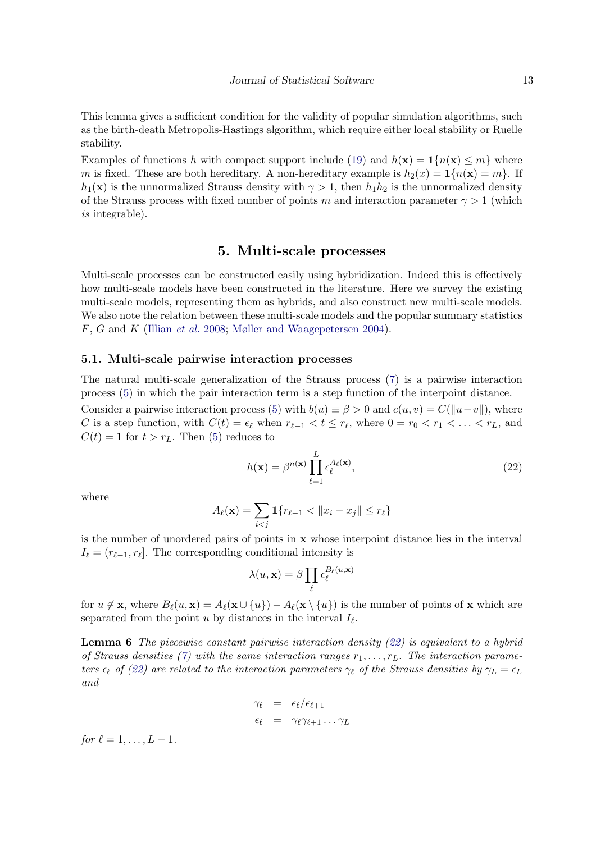This lemma gives a sufficient condition for the validity of popular simulation algorithms, such as the birth-death Metropolis-Hastings algorithm, which require either local stability or Ruelle stability.

Examples of functions h with compact support include [\(19\)](#page-10-0) and  $h(\mathbf{x}) = \mathbf{1}\{n(\mathbf{x}) \leq m\}$  where m is fixed. These are both hereditary. A non-hereditary example is  $h_2(x) = 1\{n(\mathbf{x}) = m\}$ . If  $h_1(\mathbf{x})$  is the unnormalized Strauss density with  $\gamma > 1$ , then  $h_1h_2$  is the unnormalized density of the Strauss process with fixed number of points m and interaction parameter  $\gamma > 1$  (which is integrable).

### 5. Multi-scale processes

<span id="page-12-0"></span>Multi-scale processes can be constructed easily using hybridization. Indeed this is effectively how multi-scale models have been constructed in the literature. Here we survey the existing multi-scale models, representing them as hybrids, and also construct new multi-scale models. We also note the relation between these multi-scale models and the popular summary statistics F, G and K [\(Illian](#page-40-2) et al. [2008;](#page-40-2) [Møller and Waagepetersen](#page-41-0) [2004\)](#page-41-0).

#### 5.1. Multi-scale pairwise interaction processes

The natural multi-scale generalization of the Strauss process [\(7\)](#page-5-2) is a pairwise interaction process [\(5\)](#page-5-1) in which the pair interaction term is a step function of the interpoint distance.

Consider a pairwise interaction process [\(5\)](#page-5-1) with  $b(u) \equiv \beta > 0$  and  $c(u, v) = C(\Vert u-v \Vert)$ , where C is a step function, with  $C(t) = \epsilon_{\ell}$  when  $r_{\ell-1} < t \leq r_{\ell}$ , where  $0 = r_0 < r_1 < \ldots < r_L$ , and  $C(t) = 1$  for  $t > r<sub>L</sub>$ . Then [\(5\)](#page-5-1) reduces to

<span id="page-12-1"></span>
$$
h(\mathbf{x}) = \beta^{n(\mathbf{x})} \prod_{\ell=1}^{L} \epsilon_{\ell}^{A_{\ell}(\mathbf{x})},
$$
\n(22)

where

$$
A_{\ell}(\mathbf{x}) = \sum_{i < j} \mathbf{1}\{r_{\ell-1} < \|x_i - x_j\| \le r_{\ell}\}
$$

is the number of unordered pairs of points in  $x$  whose interpoint distance lies in the interval  $I_{\ell} = (r_{\ell-1}, r_{\ell}]$ . The corresponding conditional intensity is

$$
\lambda(u,\mathbf{x}) = \beta \prod_{\ell} \epsilon_{\ell}^{B_{\ell}(u,\mathbf{x})}
$$

for  $u \notin \mathbf{x}$ , where  $B_\ell(u, \mathbf{x}) = A_\ell(\mathbf{x} \cup \{u\}) - A_\ell(\mathbf{x} \setminus \{u\})$  is the number of points of x which are separated from the point u by distances in the interval  $I_{\ell}$ .

<span id="page-12-2"></span>**Lemma 6** The piecewise constant pairwise interaction density  $(22)$  is equivalent to a hybrid of Strauss densities [\(7\)](#page-5-2) with the same interaction ranges  $r_1, \ldots, r_L$ . The interaction parameters  $\epsilon_{\ell}$  of [\(22\)](#page-12-1) are related to the interaction parameters  $\gamma_{\ell}$  of the Strauss densities by  $\gamma_L = \epsilon_L$ and

$$
\begin{array}{rcl}\n\gamma_{\ell} & = & \epsilon_{\ell}/\epsilon_{\ell+1} \\
\epsilon_{\ell} & = & \gamma_{\ell}\gamma_{\ell+1}\dots\gamma_L\n\end{array}
$$

for  $\ell = 1, \ldots, L - 1$ .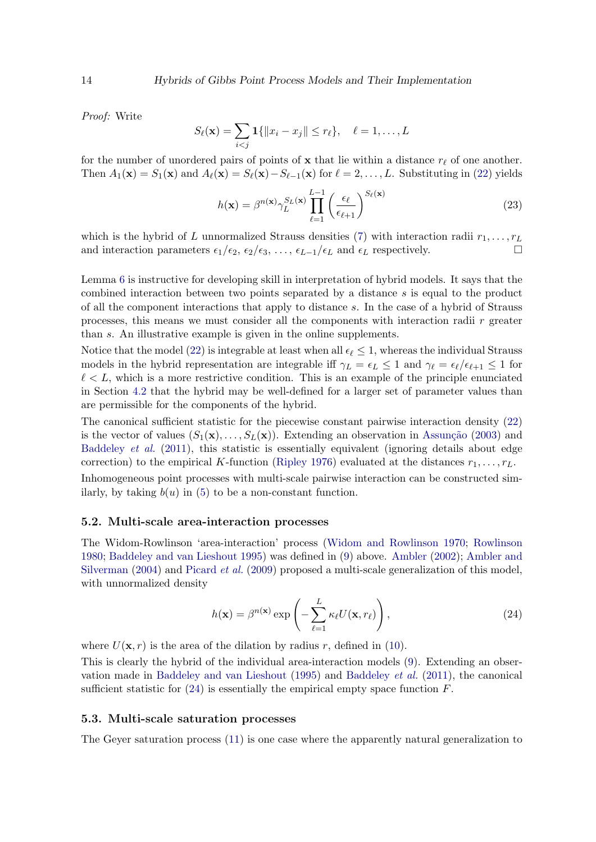Proof: Write

$$
S_{\ell}(\mathbf{x}) = \sum_{i < j} \mathbf{1}\{\|x_i - x_j\| \le r_{\ell}\}, \quad \ell = 1, \ldots, L
$$

for the number of unordered pairs of points of x that lie within a distance  $r_\ell$  of one another. Then  $A_1(\mathbf{x}) = S_1(\mathbf{x})$  and  $A_\ell(\mathbf{x}) = S_\ell(\mathbf{x}) - S_{\ell-1}(\mathbf{x})$  for  $\ell = 2, \ldots, L$ . Substituting in [\(22\)](#page-12-1) yields

$$
h(\mathbf{x}) = \beta^{n(\mathbf{x})} \gamma_L^{S_L(\mathbf{x})} \prod_{\ell=1}^{L-1} \left(\frac{\epsilon_{\ell}}{\epsilon_{\ell+1}}\right)^{S_{\ell}(\mathbf{x})} \tag{23}
$$

which is the hybrid of L unnormalized Strauss densities [\(7\)](#page-5-2) with interaction radii  $r_1, \ldots, r_L$ and interaction parameters  $\epsilon_1/\epsilon_2$ ,  $\epsilon_2/\epsilon_3$ , ...,  $\epsilon_{L-1}/\epsilon_L$  and  $\epsilon_L$  respectively.

Lemma [6](#page-12-2) is instructive for developing skill in interpretation of hybrid models. It says that the combined interaction between two points separated by a distance s is equal to the product of all the component interactions that apply to distance s. In the case of a hybrid of Strauss processes, this means we must consider all the components with interaction radii  $r$  greater than s. An illustrative example is given in the online supplements.

Notice that the model [\(22\)](#page-12-1) is integrable at least when all  $\epsilon_\ell \leq 1$ , whereas the individual Strauss models in the hybrid representation are integrable iff  $\gamma_L = \epsilon_L \leq 1$  and  $\gamma_\ell = \epsilon_\ell/\epsilon_{\ell+1} \leq 1$  for  $\ell < L$ , which is a more restrictive condition. This is an example of the principle enunciated in Section [4.2](#page-10-1) that the hybrid may be well-defined for a larger set of parameter values than are permissible for the components of the hybrid.

The canonical sufficient statistic for the piecewise constant pairwise interaction density [\(22\)](#page-12-1) is the vector of values  $(S_1(\mathbf{x}),...,S_L(\mathbf{x}))$ . Extending an observation in Assunção [\(2003\)](#page-38-7) and [Baddeley](#page-38-6) *et al.* [\(2011\)](#page-38-6), this statistic is essentially equivalent (ignoring details about edge correction) to the empirical K-function [\(Ripley](#page-41-8) [1976\)](#page-41-8) evaluated at the distances  $r_1, \ldots, r_L$ .

Inhomogeneous point processes with multi-scale pairwise interaction can be constructed similarly, by taking  $b(u)$  in [\(5\)](#page-5-1) to be a non-constant function.

### 5.2. Multi-scale area-interaction processes

The Widom-Rowlinson 'area-interaction' process [\(Widom and Rowlinson](#page-42-0) [1970;](#page-42-0) [Rowlinson](#page-41-6) [1980;](#page-41-6) [Baddeley and van Lieshout](#page-39-3) [1995\)](#page-39-3) was defined in [\(9\)](#page-7-0) above. [Ambler](#page-37-0) [\(2002\)](#page-37-0); [Ambler and](#page-38-3) [Silverman](#page-38-3) [\(2004\)](#page-38-3) and [Picard](#page-41-2) *et al.* [\(2009\)](#page-41-2) proposed a multi-scale generalization of this model, with unnormalized density

<span id="page-13-0"></span>
$$
h(\mathbf{x}) = \beta^{n(\mathbf{x})} \exp\left(-\sum_{\ell=1}^{L} \kappa_{\ell} U(\mathbf{x}, r_{\ell})\right),\tag{24}
$$

where  $U(\mathbf{x}, r)$  is the area of the dilation by radius r, defined in [\(10\)](#page-7-4).

This is clearly the hybrid of the individual area-interaction models [\(9\)](#page-7-0). Extending an observation made in [Baddeley and van Lieshout](#page-39-3) [\(1995\)](#page-39-3) and [Baddeley](#page-38-6) et al. [\(2011\)](#page-38-6), the canonical sufficient statistic for  $(24)$  is essentially the empirical empty space function F.

#### 5.3. Multi-scale saturation processes

The Geyer saturation process [\(11\)](#page-7-3) is one case where the apparently natural generalization to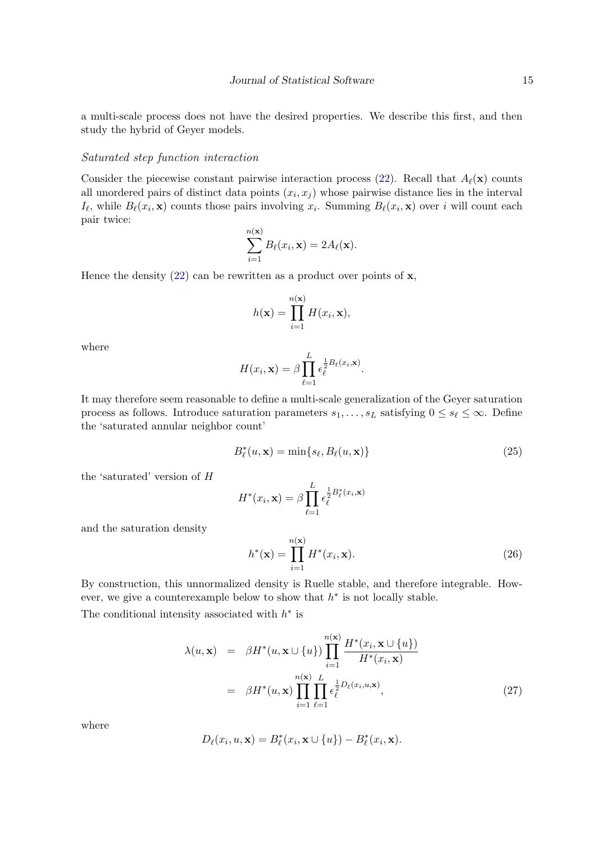a multi-scale process does not have the desired properties. We describe this first, and then study the hybrid of Geyer models.

#### Saturated step function interaction

Consider the piecewise constant pairwise interaction process [\(22\)](#page-12-1). Recall that  $A_{\ell}(\mathbf{x})$  counts all unordered pairs of distinct data points  $(x_i, x_j)$  whose pairwise distance lies in the interval  $I_{\ell}$ , while  $B_{\ell}(x_i, \mathbf{x})$  counts those pairs involving  $x_i$ . Summing  $B_{\ell}(x_i, \mathbf{x})$  over i will count each pair twice:

$$
\sum_{i=1}^{n(\mathbf{x})} B_{\ell}(x_i, \mathbf{x}) = 2A_{\ell}(\mathbf{x}).
$$

Hence the density  $(22)$  can be rewritten as a product over points of x,

$$
h(\mathbf{x}) = \prod_{i=1}^{n(\mathbf{x})} H(x_i, \mathbf{x}),
$$

where

$$
H(x_i, \mathbf{x}) = \beta \prod_{\ell=1}^L \epsilon_{\ell}^{\frac{1}{2}B_{\ell}(x_i, \mathbf{x})}.
$$

It may therefore seem reasonable to define a multi-scale generalization of the Geyer saturation process as follows. Introduce saturation parameters  $s_1, \ldots, s_L$  satisfying  $0 \leq s_\ell \leq \infty$ . Define the 'saturated annular neighbor count'

$$
B_{\ell}^*(u, \mathbf{x}) = \min\{s_{\ell}, B_{\ell}(u, \mathbf{x})\}\tag{25}
$$

the 'saturated' version of H

$$
H^*(x_i, \mathbf{x}) = \beta \prod_{\ell=1}^L \epsilon_{\ell}^{\frac{1}{2}B_{\ell}^*(x_i, \mathbf{x})}
$$

and the saturation density

<span id="page-14-0"></span>
$$
h^*(\mathbf{x}) = \prod_{i=1}^{n(\mathbf{x})} H^*(x_i, \mathbf{x}).
$$
\n(26)

By construction, this unnormalized density is Ruelle stable, and therefore integrable. However, we give a counterexample below to show that  $h^*$  is not locally stable.

The conditional intensity associated with  $h^*$  is

$$
\lambda(u, \mathbf{x}) = \beta H^*(u, \mathbf{x} \cup \{u\}) \prod_{i=1}^{n(\mathbf{x})} \frac{H^*(x_i, \mathbf{x} \cup \{u\})}{H^*(x_i, \mathbf{x})}
$$

$$
= \beta H^*(u, \mathbf{x}) \prod_{i=1}^{n(\mathbf{x})} \prod_{\ell=1}^L \epsilon_{\ell}^{\frac{1}{2} D_{\ell}(x_i, u, \mathbf{x})}, \tag{27}
$$

where

$$
D_{\ell}(x_i, u, \mathbf{x}) = B_{\ell}^*(x_i, \mathbf{x} \cup \{u\}) - B_{\ell}^*(x_i, \mathbf{x}).
$$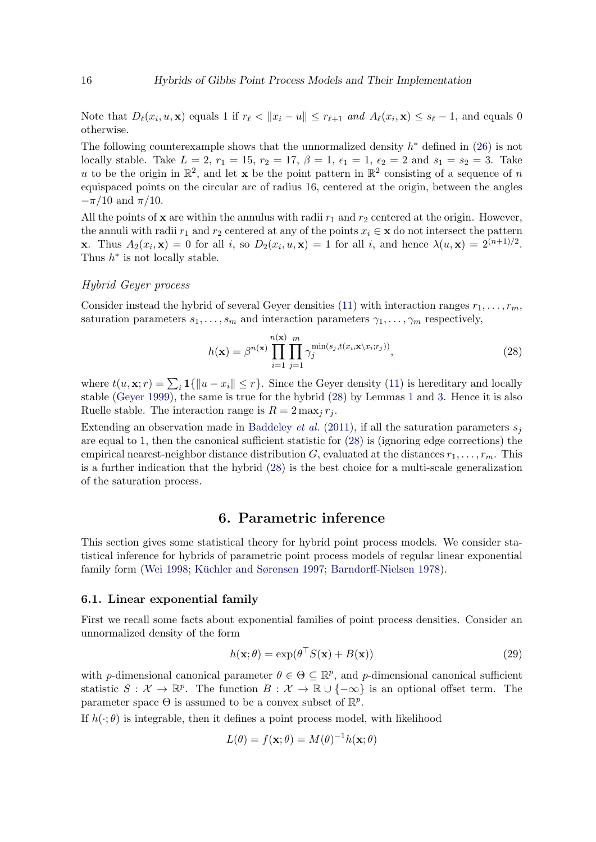Note that  $D_{\ell}(x_i, u, \mathbf{x})$  equals 1 if  $r_{\ell} < ||x_i - u|| \leq r_{\ell+1}$  and  $A_{\ell}(x_i, \mathbf{x}) \leq s_{\ell} - 1$ , and equals 0 otherwise.

The following counterexample shows that the unnormalized density  $h^*$  defined in [\(26\)](#page-14-0) is not locally stable. Take  $L = 2$ ,  $r_1 = 15$ ,  $r_2 = 17$ ,  $\beta = 1$ ,  $\epsilon_1 = 1$ ,  $\epsilon_2 = 2$  and  $s_1 = s_2 = 3$ . Take u to be the origin in  $\mathbb{R}^2$ , and let **x** be the point pattern in  $\mathbb{R}^2$  consisting of a sequence of n equispaced points on the circular arc of radius 16, centered at the origin, between the angles  $-\pi/10$  and  $\pi/10$ .

All the points of  $x$  are within the annulus with radii  $r_1$  and  $r_2$  centered at the origin. However, the annuli with radii  $r_1$  and  $r_2$  centered at any of the points  $x_i \in \mathbf{x}$  do not intersect the pattern **x**. Thus  $A_2(x_i, \mathbf{x}) = 0$  for all i, so  $D_2(x_i, u, \mathbf{x}) = 1$  for all i, and hence  $\lambda(u, \mathbf{x}) = 2^{(n+1)/2}$ . Thus  $h^*$  is not locally stable.

#### Hybrid Geyer process

Consider instead the hybrid of several Geyer densities [\(11\)](#page-7-3) with interaction ranges  $r_1, \ldots, r_m$ , saturation parameters  $s_1, \ldots, s_m$  and interaction parameters  $\gamma_1, \ldots, \gamma_m$  respectively,

<span id="page-15-1"></span>
$$
h(\mathbf{x}) = \beta^{n(\mathbf{x})} \prod_{i=1}^{n(\mathbf{x})} \prod_{j=1}^{m} \gamma_j^{\min(s_j, t(x_i, \mathbf{x} \setminus x_i; r_j))},\tag{28}
$$

where  $t(u, \mathbf{x}; r) = \sum_i \mathbf{1}\{\|u - x_i\| \leq r\}$ . Since the Geyer density [\(11\)](#page-7-3) is hereditary and locally stable [\(Geyer](#page-39-1) [1999\)](#page-39-1), the same is true for the hybrid [\(28\)](#page-15-1) by Lemmas [1](#page-9-3) and [3.](#page-10-2) Hence it is also Ruelle stable. The interaction range is  $R = 2 \max_i r_i$ .

Extending an observation made in [Baddeley](#page-38-6) *et al.* [\(2011\)](#page-38-6), if all the saturation parameters  $s_i$ are equal to 1, then the canonical sufficient statistic for [\(28\)](#page-15-1) is (ignoring edge corrections) the empirical nearest-neighbor distance distribution G, evaluated at the distances  $r_1, \ldots, r_m$ . This is a further indication that the hybrid [\(28\)](#page-15-1) is the best choice for a multi-scale generalization of the saturation process.

### 6. Parametric inference

<span id="page-15-0"></span>This section gives some statistical theory for hybrid point process models. We consider statistical inference for hybrids of parametric point process models of regular linear exponential family form [\(Wei](#page-41-9) [1998;](#page-41-9) Küchler and Sørensen [1997;](#page-40-8) [Barndorff-Nielsen](#page-39-4) [1978\)](#page-39-4).

#### <span id="page-15-3"></span>6.1. Linear exponential family

First we recall some facts about exponential families of point process densities. Consider an unnormalized density of the form

<span id="page-15-2"></span>
$$
h(\mathbf{x};\theta) = \exp(\theta^\top S(\mathbf{x}) + B(\mathbf{x}))\tag{29}
$$

with *p*-dimensional canonical parameter  $\theta \in \Theta \subseteq \mathbb{R}^p$ , and *p*-dimensional canonical sufficient statistic  $S: \mathcal{X} \to \mathbb{R}^p$ . The function  $B: \mathcal{X} \to \mathbb{R} \cup \{-\infty\}$  is an optional offset term. The parameter space  $\Theta$  is assumed to be a convex subset of  $\mathbb{R}^p$ .

If  $h(\cdot;\theta)$  is integrable, then it defines a point process model, with likelihood

$$
L(\theta) = f(\mathbf{x}; \theta) = M(\theta)^{-1} h(\mathbf{x}; \theta)
$$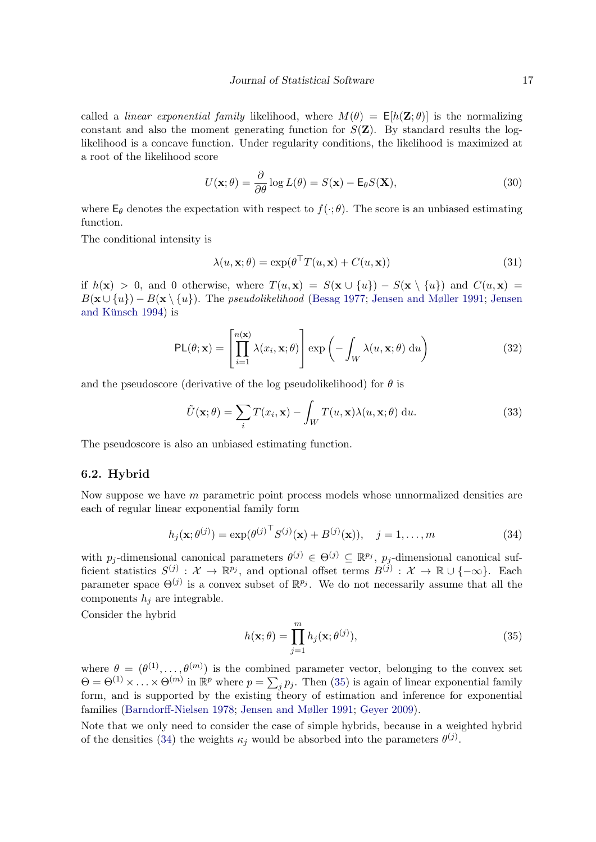called a *linear exponential family* likelihood, where  $M(\theta) = \mathsf{E}[h(\mathbf{Z}; \theta)]$  is the normalizing constant and also the moment generating function for  $S(\mathbf{Z})$ . By standard results the loglikelihood is a concave function. Under regularity conditions, the likelihood is maximized at a root of the likelihood score

$$
U(\mathbf{x};\theta) = \frac{\partial}{\partial \theta} \log L(\theta) = S(\mathbf{x}) - \mathsf{E}_{\theta} S(\mathbf{X}),\tag{30}
$$

where  $\mathsf{E}_{\theta}$  denotes the expectation with respect to  $f(\cdot;\theta)$ . The score is an unbiased estimating function.

The conditional intensity is

<span id="page-16-3"></span>
$$
\lambda(u, \mathbf{x}; \theta) = \exp(\theta^{\top} T(u, \mathbf{x}) + C(u, \mathbf{x})) \tag{31}
$$

if  $h(\mathbf{x}) > 0$ , and 0 otherwise, where  $T(u, \mathbf{x}) = S(\mathbf{x} \cup \{u\}) - S(\mathbf{x} \setminus \{u\})$  and  $C(u, \mathbf{x}) =$  $B(\mathbf{x} \cup \{u\}) - B(\mathbf{x} \setminus \{u\})$ . The *pseudolikelihood* [\(Besag](#page-39-5) [1977;](#page-39-5) [Jensen and Møller](#page-40-9) [1991;](#page-40-9) [Jensen](#page-40-10) and Künsch [1994\)](#page-40-10) is

<span id="page-16-2"></span>
$$
PL(\theta; \mathbf{x}) = \left[ \prod_{i=1}^{n(\mathbf{x})} \lambda(x_i, \mathbf{x}; \theta) \right] \exp\left( - \int_W \lambda(u, \mathbf{x}; \theta) du \right)
$$
(32)

and the pseudoscore (derivative of the log pseudolikelihood) for  $\theta$  is

$$
\tilde{U}(\mathbf{x};\theta) = \sum_{i} T(x_i, \mathbf{x}) - \int_{W} T(u, \mathbf{x}) \lambda(u, \mathbf{x};\theta) \, \mathrm{d}u.
$$
\n(33)

The pseudoscore is also an unbiased estimating function.

#### 6.2. Hybrid

Now suppose we have  $m$  parametric point process models whose unnormalized densities are each of regular linear exponential family form

<span id="page-16-1"></span>
$$
h_j(\mathbf{x}; \theta^{(j)}) = \exp(\theta^{(j)}^\top S^{(j)}(\mathbf{x}) + B^{(j)}(\mathbf{x})), \quad j = 1, ..., m
$$
 (34)

with  $p_j$ -dimensional canonical parameters  $\theta^{(j)} \in \Theta^{(j)} \subseteq \mathbb{R}^{p_j}$ ,  $p_j$ -dimensional canonical sufficient statistics  $S^{(j)}: \mathcal{X} \to \mathbb{R}^{p_j}$ , and optional offset terms  $B^{(j)}: \mathcal{X} \to \mathbb{R} \cup \{-\infty\}$ . Each parameter space  $\Theta^{(j)}$  is a convex subset of  $\mathbb{R}^{p_j}$ . We do not necessarily assume that all the components  $h_i$  are integrable.

Consider the hybrid

<span id="page-16-0"></span>
$$
h(\mathbf{x};\theta) = \prod_{j=1}^{m} h_j(\mathbf{x};\theta^{(j)}),
$$
\n(35)

where  $\theta = (\theta^{(1)}, \ldots, \theta^{(m)})$  is the combined parameter vector, belonging to the convex set  $\Theta = \Theta^{(1)} \times \ldots \times \Theta^{(m)}$  in  $\mathbb{R}^p$  where  $p = \sum_j p_j$ . Then [\(35\)](#page-16-0) is again of linear exponential family form, and is supported by the existing theory of estimation and inference for exponential families [\(Barndorff-Nielsen](#page-39-4) [1978;](#page-39-4) [Jensen and Møller](#page-40-9) [1991;](#page-40-9) [Geyer](#page-39-6) [2009\)](#page-39-6).

Note that we only need to consider the case of simple hybrids, because in a weighted hybrid of the densities [\(34\)](#page-16-1) the weights  $\kappa_j$  would be absorbed into the parameters  $\theta^{(j)}$ .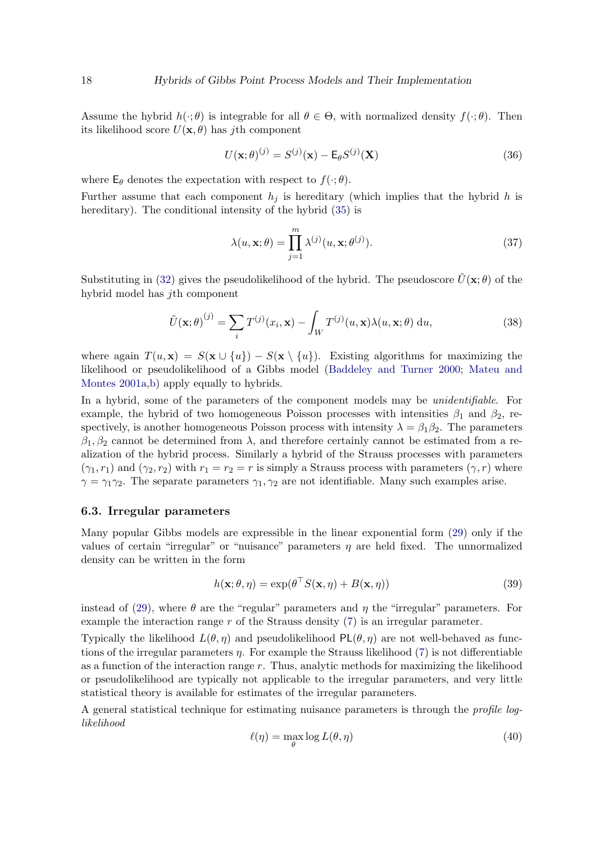Assume the hybrid  $h(\cdot; \theta)$  is integrable for all  $\theta \in \Theta$ , with normalized density  $f(\cdot; \theta)$ . Then its likelihood score  $U(\mathbf{x}, \theta)$  has jth component

$$
U(\mathbf{x};\theta)^{(j)} = S^{(j)}(\mathbf{x}) - \mathsf{E}_{\theta}S^{(j)}(\mathbf{X})
$$
\n(36)

where  $\mathsf{E}_{\theta}$  denotes the expectation with respect to  $f(\cdot; \theta)$ .

Further assume that each component  $h_j$  is hereditary (which implies that the hybrid h is hereditary). The conditional intensity of the hybrid  $(35)$  is

$$
\lambda(u, \mathbf{x}; \theta) = \prod_{j=1}^{m} \lambda^{(j)}(u, \mathbf{x}; \theta^{(j)}).
$$
 (37)

Substituting in [\(32\)](#page-16-2) gives the pseudolikelihood of the hybrid. The pseudoscore  $\tilde{U}(\mathbf{x}; \theta)$  of the hybrid model has jth component

<span id="page-17-0"></span>
$$
\tilde{U}(\mathbf{x};\theta)^{(j)} = \sum_{i} T^{(j)}(x_i, \mathbf{x}) - \int_W T^{(j)}(u, \mathbf{x}) \lambda(u, \mathbf{x};\theta) du,
$$
\n(38)

where again  $T(u, x) = S(x \cup \{u\}) - S(x \setminus \{u\})$ . Existing algorithms for maximizing the likelihood or pseudolikelihood of a Gibbs model [\(Baddeley and Turner](#page-38-0) [2000;](#page-38-0) [Mateu and](#page-41-10) [Montes](#page-41-10) [2001a,](#page-41-10)[b\)](#page-41-11) apply equally to hybrids.

In a hybrid, some of the parameters of the component models may be *unidentifiable*. For example, the hybrid of two homogeneous Poisson processes with intensities  $\beta_1$  and  $\beta_2$ , respectively, is another homogeneous Poisson process with intensity  $\lambda = \beta_1 \beta_2$ . The parameters  $\beta_1, \beta_2$  cannot be determined from  $\lambda$ , and therefore certainly cannot be estimated from a realization of the hybrid process. Similarly a hybrid of the Strauss processes with parameters  $(\gamma_1, r_1)$  and  $(\gamma_2, r_2)$  with  $r_1 = r_2 = r$  is simply a Strauss process with parameters  $(\gamma, r)$  where  $\gamma = \gamma_1 \gamma_2$ . The separate parameters  $\gamma_1, \gamma_2$  are not identifiable. Many such examples arise.

### <span id="page-17-1"></span>6.3. Irregular parameters

Many popular Gibbs models are expressible in the linear exponential form [\(29\)](#page-15-2) only if the values of certain "irregular" or "nuisance" parameters  $\eta$  are held fixed. The unnormalized density can be written in the form

$$
h(\mathbf{x}; \theta, \eta) = \exp(\theta^\top S(\mathbf{x}, \eta) + B(\mathbf{x}, \eta))
$$
\n(39)

instead of [\(29\)](#page-15-2), where  $\theta$  are the "regular" parameters and  $\eta$  the "irregular" parameters. For example the interaction range  $r$  of the Strauss density  $(7)$  is an irregular parameter.

Typically the likelihood  $L(\theta, \eta)$  and pseudolikelihood  $PL(\theta, \eta)$  are not well-behaved as functions of the irregular parameters  $\eta$ . For example the Strauss likelihood [\(7\)](#page-5-2) is not differentiable as a function of the interaction range  $r$ . Thus, analytic methods for maximizing the likelihood or pseudolikelihood are typically not applicable to the irregular parameters, and very little statistical theory is available for estimates of the irregular parameters.

A general statistical technique for estimating nuisance parameters is through the profile loglikelihood

$$
\ell(\eta) = \max_{\theta} \log L(\theta, \eta) \tag{40}
$$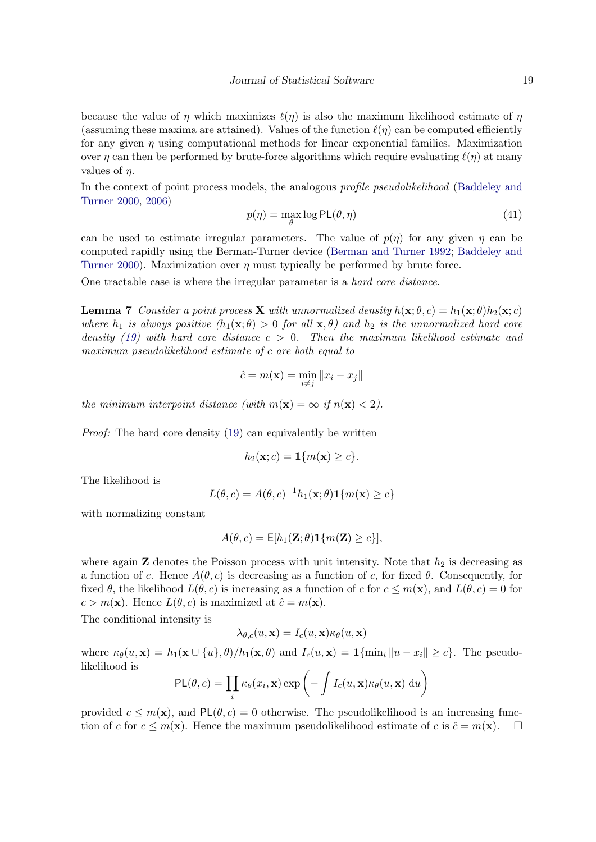because the value of  $\eta$  which maximizes  $\ell(\eta)$  is also the maximum likelihood estimate of  $\eta$ (assuming these maxima are attained). Values of the function  $\ell(\eta)$  can be computed efficiently for any given  $\eta$  using computational methods for linear exponential families. Maximization over  $\eta$  can then be performed by brute-force algorithms which require evaluating  $\ell(\eta)$  at many values of  $\eta$ .

In the context of point process models, the analogous *profile pseudolikelihood* [\(Baddeley and](#page-38-0) [Turner](#page-38-0) [2000,](#page-38-0) [2006\)](#page-38-1)

$$
p(\eta) = \max_{\theta} \log \mathsf{PL}(\theta, \eta)
$$
\n(41)

can be used to estimate irregular parameters. The value of  $p(\eta)$  for any given  $\eta$  can be computed rapidly using the Berman-Turner device [\(Berman and Turner](#page-39-7) [1992;](#page-39-7) [Baddeley and](#page-38-0) [Turner](#page-38-0) [2000\)](#page-38-0). Maximization over  $\eta$  must typically be performed by brute force.

<span id="page-18-0"></span>One tractable case is where the irregular parameter is a hard core distance.

**Lemma 7** Consider a point process **X** with unnormalized density  $h(\mathbf{x}; \theta, c) = h_1(\mathbf{x}; \theta)h_2(\mathbf{x}; c)$ where  $h_1$  is always positive  $(h_1(\mathbf{x}; \theta) > 0$  for all  $\mathbf{x}, \theta)$  and  $h_2$  is the unnormalized hard core density [\(19\)](#page-10-0) with hard core distance  $c > 0$ . Then the maximum likelihood estimate and maximum pseudolikelihood estimate of c are both equal to

$$
\hat{c} = m(\mathbf{x}) = \min_{i \neq j} \|x_i - x_j\|
$$

the minimum interpoint distance (with  $m(\mathbf{x}) = \infty$  if  $n(\mathbf{x}) < 2$ ).

Proof: The hard core density [\(19\)](#page-10-0) can equivalently be written

$$
h_2(\mathbf{x};c) = \mathbf{1}\{m(\mathbf{x}) \ge c\}.
$$

The likelihood is

$$
L(\theta, c) = A(\theta, c)^{-1} h_1(\mathbf{x}; \theta) \mathbf{1}\{m(\mathbf{x}) \ge c\}
$$

with normalizing constant

$$
A(\theta, c) = \mathsf{E}[h_1(\mathbf{Z}; \theta) \mathbf{1}\{m(\mathbf{Z}) \geq c\}],
$$

where again **Z** denotes the Poisson process with unit intensity. Note that  $h_2$  is decreasing as a function of c. Hence  $A(\theta, c)$  is decreasing as a function of c, for fixed  $\theta$ . Consequently, for fixed  $\theta$ , the likelihood  $L(\theta, c)$  is increasing as a function of c for  $c \leq m(\mathbf{x})$ , and  $L(\theta, c) = 0$  for  $c > m(\mathbf{x})$ . Hence  $L(\theta, c)$  is maximized at  $\hat{c} = m(\mathbf{x})$ .

The conditional intensity is

$$
\lambda_{\theta,c}(u,\mathbf{x}) = I_c(u,\mathbf{x})\kappa_\theta(u,\mathbf{x})
$$

where  $\kappa_{\theta}(u, \mathbf{x}) = h_1(\mathbf{x} \cup \{u\}, \theta) / h_1(\mathbf{x}, \theta)$  and  $I_c(u, \mathbf{x}) = \mathbf{1}\{\min_i ||u - x_i|| \geq c\}$ . The pseudolikelihood is

$$
PL(\theta, c) = \prod_i \kappa_{\theta}(x_i, \mathbf{x}) \exp\left(-\int I_c(u, \mathbf{x}) \kappa_{\theta}(u, \mathbf{x}) du\right)
$$

provided  $c \leq m(\mathbf{x})$ , and  $PL(\theta, c) = 0$  otherwise. The pseudolikelihood is an increasing function of c for  $c \leq m(\mathbf{x})$ . Hence the maximum pseudolikelihood estimate of c is  $\hat{c} = m(\mathbf{x})$ .  $\Box$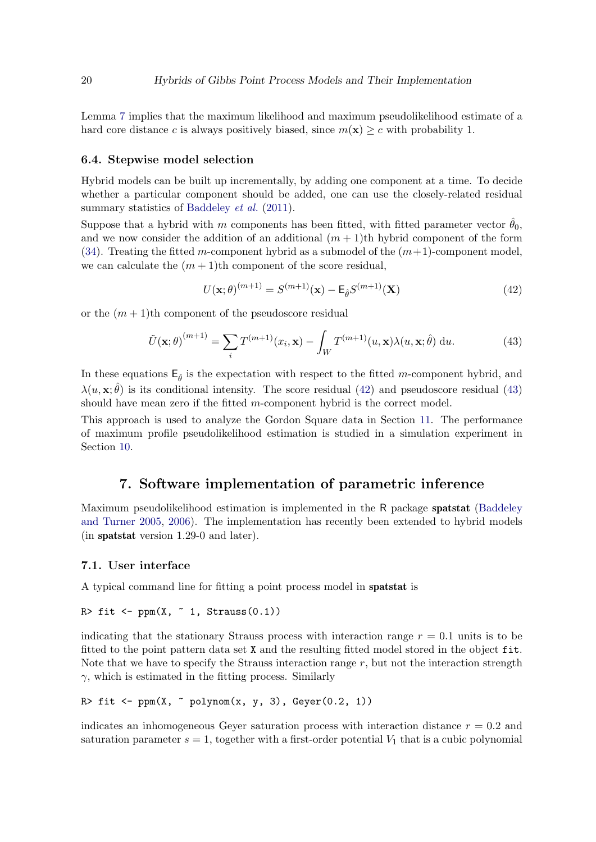Lemma [7](#page-18-0) implies that the maximum likelihood and maximum pseudolikelihood estimate of a hard core distance c is always positively biased, since  $m(\mathbf{x}) \geq c$  with probability 1.

#### <span id="page-19-3"></span>6.4. Stepwise model selection

Hybrid models can be built up incrementally, by adding one component at a time. To decide whether a particular component should be added, one can use the closely-related residual summary statistics of [Baddeley](#page-38-6) *et al.* [\(2011\)](#page-38-6).

Suppose that a hybrid with m components has been fitted, with fitted parameter vector  $\hat{\theta}_0$ , and we now consider the addition of an additional  $(m + 1)$ th hybrid component of the form [\(34\)](#page-16-1). Treating the fitted m-component hybrid as a submodel of the  $(m+1)$ -component model, we can calculate the  $(m + 1)$ th component of the score residual,

<span id="page-19-1"></span>
$$
U(\mathbf{x};\theta)^{(m+1)} = S^{(m+1)}(\mathbf{x}) - \mathsf{E}_{\hat{\theta}} S^{(m+1)}(\mathbf{X})
$$
(42)

or the  $(m+1)$ th component of the pseudoscore residual

<span id="page-19-2"></span>
$$
\tilde{U}(\mathbf{x};\theta)^{(m+1)} = \sum_{i} T^{(m+1)}(x_i, \mathbf{x}) - \int_W T^{(m+1)}(u, \mathbf{x}) \lambda(u, \mathbf{x};\hat{\theta}) du.
$$
\n(43)

In these equations  $E_{\hat{\theta}}$  is the expectation with respect to the fitted m-component hybrid, and  $\lambda(u, \mathbf{x}; \hat{\theta})$  is its conditional intensity. The score residual [\(42\)](#page-19-1) and pseudoscore residual [\(43\)](#page-19-2) should have mean zero if the fitted m-component hybrid is the correct model.

This approach is used to analyze the Gordon Square data in Section [11.](#page-27-0) The performance of maximum profile pseudolikelihood estimation is studied in a simulation experiment in Section [10.](#page-26-0)

### 7. Software implementation of parametric inference

<span id="page-19-0"></span>Maximum pseudolikelihood estimation is implemented in the R package **spatstat** [\(Baddeley](#page-38-2) [and Turner](#page-38-2) [2005,](#page-38-2) [2006\)](#page-38-1). The implementation has recently been extended to hybrid models (in spatstat version 1.29-0 and later).

### 7.1. User interface

A typical command line for fitting a point process model in spatstat is

```
R> fit <- ppm(X, " 1, Strauss(0.1))
```
indicating that the stationary Strauss process with interaction range  $r = 0.1$  units is to be fitted to the point pattern data set X and the resulting fitted model stored in the object fit. Note that we have to specify the Strauss interaction range  $r$ , but not the interaction strength  $\gamma$ , which is estimated in the fitting process. Similarly

```
R> fit <- ppm(X, \tilde{p}q) polynom(x, y, 3), Geyer(0.2, 1))
```
indicates an inhomogeneous Geyer saturation process with interaction distance  $r = 0.2$  and saturation parameter  $s = 1$ , together with a first-order potential  $V_1$  that is a cubic polynomial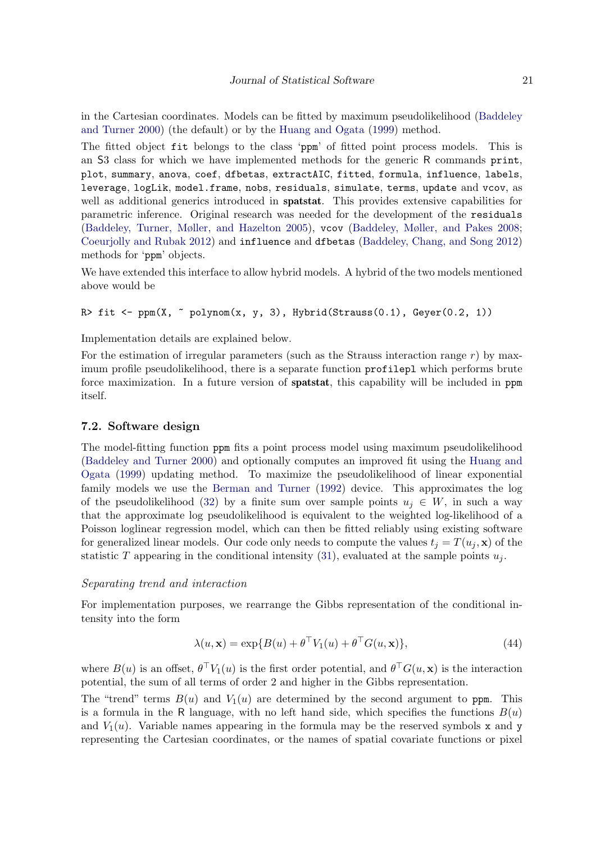in the Cartesian coordinates. Models can be fitted by maximum pseudolikelihood [\(Baddeley](#page-38-0) [and Turner](#page-38-0) [2000\)](#page-38-0) (the default) or by the [Huang and Ogata](#page-40-11) [\(1999\)](#page-40-11) method.

The fitted object fit belongs to the class 'ppm' of fitted point process models. This is an S3 class for which we have implemented methods for the generic R commands print, plot, summary, anova, coef, dfbetas, extractAIC, fitted, formula, influence, labels, leverage, logLik, model.frame, nobs, residuals, simulate, terms, update and vcov, as well as additional generics introduced in **spatstat**. This provides extensive capabilities for parametric inference. Original research was needed for the development of the residuals [\(Baddeley, Turner, Møller, and Hazelton](#page-38-8) [2005\)](#page-38-8), vcov [\(Baddeley, Møller, and Pakes](#page-38-9) [2008;](#page-38-9) [Coeurjolly and Rubak](#page-39-8) [2012\)](#page-39-8) and influence and dfbetas [\(Baddeley, Chang, and Song](#page-38-10) [2012\)](#page-38-10) methods for 'ppm' objects.

We have extended this interface to allow hybrid models. A hybrid of the two models mentioned above would be

```
R> fit <- ppm(X, \tilde{g}) polynom(x, y, 3), Hybrid(Strauss(0.1), Geyer(0.2, 1))
```
Implementation details are explained below.

For the estimation of irregular parameters (such as the Strauss interaction range  $r$ ) by maximum profile pseudolikelihood, there is a separate function profilepl which performs brute force maximization. In a future version of spatstat, this capability will be included in ppm itself.

### 7.2. Software design

The model-fitting function ppm fits a point process model using maximum pseudolikelihood [\(Baddeley and Turner](#page-38-0) [2000\)](#page-38-0) and optionally computes an improved fit using the [Huang and](#page-40-11) [Ogata](#page-40-11) [\(1999\)](#page-40-11) updating method. To maximize the pseudolikelihood of linear exponential family models we use the [Berman and Turner](#page-39-7) [\(1992\)](#page-39-7) device. This approximates the log of the pseudolikelihood [\(32\)](#page-16-2) by a finite sum over sample points  $u_i \in W$ , in such a way that the approximate log pseudolikelihood is equivalent to the weighted log-likelihood of a Poisson loglinear regression model, which can then be fitted reliably using existing software for generalized linear models. Our code only needs to compute the values  $t_i = T(u_i, \mathbf{x})$  of the statistic T appearing in the conditional intensity [\(31\)](#page-16-3), evaluated at the sample points  $u_i$ .

### Separating trend and interaction

For implementation purposes, we rearrange the Gibbs representation of the conditional intensity into the form

<span id="page-20-0"></span>
$$
\lambda(u, \mathbf{x}) = \exp\{B(u) + \theta^\top V_1(u) + \theta^\top G(u, \mathbf{x})\},\tag{44}
$$

where  $B(u)$  is an offset,  $\theta^{\top} V_1(u)$  is the first order potential, and  $\theta^{\top} G(u, \mathbf{x})$  is the interaction potential, the sum of all terms of order 2 and higher in the Gibbs representation.

The "trend" terms  $B(u)$  and  $V_1(u)$  are determined by the second argument to ppm. This is a formula in the R language, with no left hand side, which specifies the functions  $B(u)$ and  $V_1(u)$ . Variable names appearing in the formula may be the reserved symbols x and y representing the Cartesian coordinates, or the names of spatial covariate functions or pixel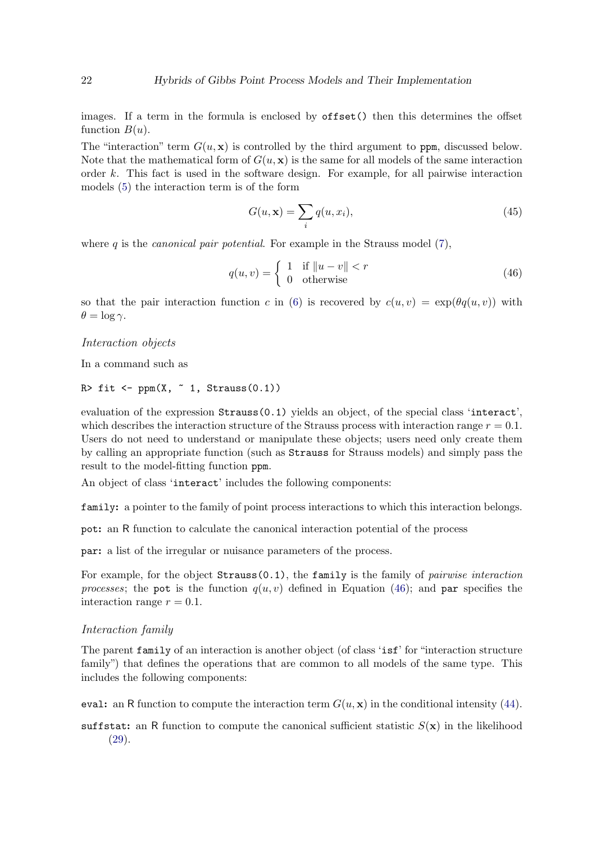images. If a term in the formula is enclosed by **offset**() then this determines the offset function  $B(u)$ .

The "interaction" term  $G(u, x)$  is controlled by the third argument to ppm, discussed below. Note that the mathematical form of  $G(u, x)$  is the same for all models of the same interaction order k. This fact is used in the software design. For example, for all pairwise interaction models [\(5\)](#page-5-1) the interaction term is of the form

<span id="page-21-1"></span>
$$
G(u, \mathbf{x}) = \sum_{i} q(u, x_i),\tag{45}
$$

where q is the *canonical pair potential*. For example in the Strauss model  $(7)$ ,

<span id="page-21-0"></span>
$$
q(u,v) = \begin{cases} 1 & \text{if } ||u-v|| < r \\ 0 & \text{otherwise} \end{cases}
$$
 (46)

so that the pair interaction function c in [\(6\)](#page-5-3) is recovered by  $c(u, v) = \exp(\theta q(u, v))$  with  $\theta = \log \gamma$ .

#### Interaction objects

In a command such as

```
R> fit <- ppm(X, " 1, Strauss(0.1))
```
evaluation of the expression Strauss(0.1) yields an object, of the special class 'interact', which describes the interaction structure of the Strauss process with interaction range  $r = 0.1$ . Users do not need to understand or manipulate these objects; users need only create them by calling an appropriate function (such as Strauss for Strauss models) and simply pass the result to the model-fitting function ppm.

An object of class 'interact' includes the following components:

family: a pointer to the family of point process interactions to which this interaction belongs.

pot: an R function to calculate the canonical interaction potential of the process

par: a list of the irregular or nuisance parameters of the process.

For example, for the object  $Strauss(0.1)$ , the family is the family of *pairwise interaction* processes; the pot is the function  $q(u, v)$  defined in Equation [\(46\)](#page-21-0); and par specifies the interaction range  $r = 0.1$ .

#### Interaction family

The parent family of an interaction is another object (of class 'isf' for "interaction structure family") that defines the operations that are common to all models of the same type. This includes the following components:

- eval: an R function to compute the interaction term  $G(u, \mathbf{x})$  in the conditional intensity [\(44\)](#page-20-0).
- suffstat: an R function to compute the canonical sufficient statistic  $S(\mathbf{x})$  in the likelihood [\(29\)](#page-15-2).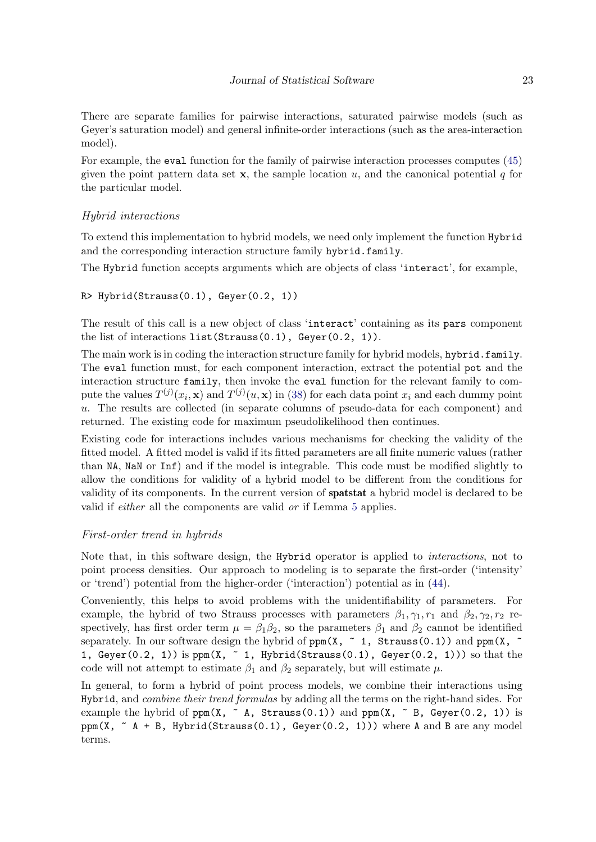There are separate families for pairwise interactions, saturated pairwise models (such as Geyer's saturation model) and general infinite-order interactions (such as the area-interaction model).

For example, the eval function for the family of pairwise interaction processes computes [\(45\)](#page-21-1) given the point pattern data set  $\bf{x}$ , the sample location u, and the canonical potential q for the particular model.

### Hybrid interactions

To extend this implementation to hybrid models, we need only implement the function Hybrid and the corresponding interaction structure family hybrid.family.

The Hybrid function accepts arguments which are objects of class 'interact', for example,

```
R> Hybrid(Strauss(0.1), Geyer(0.2, 1))
```
The result of this call is a new object of class 'interact' containing as its pars component the list of interactions list(Strauss(0.1), Geyer(0.2, 1)).

The main work is in coding the interaction structure family for hybrid models, hybrid.family. The eval function must, for each component interaction, extract the potential pot and the interaction structure family, then invoke the eval function for the relevant family to compute the values  $T^{(j)}(x_i, \mathbf{x})$  and  $T^{(j)}(u, \mathbf{x})$  in [\(38\)](#page-17-0) for each data point  $x_i$  and each dummy point u. The results are collected (in separate columns of pseudo-data for each component) and returned. The existing code for maximum pseudolikelihood then continues.

Existing code for interactions includes various mechanisms for checking the validity of the fitted model. A fitted model is valid if its fitted parameters are all finite numeric values (rather than NA, NaN or Inf) and if the model is integrable. This code must be modified slightly to allow the conditions for validity of a hybrid model to be different from the conditions for validity of its components. In the current version of spatstat a hybrid model is declared to be valid if either all the components are valid or if Lemma [5](#page-11-1) applies.

### First-order trend in hybrids

Note that, in this software design, the Hybrid operator is applied to interactions, not to point process densities. Our approach to modeling is to separate the first-order ('intensity' or 'trend') potential from the higher-order ('interaction') potential as in [\(44\)](#page-20-0).

Conveniently, this helps to avoid problems with the unidentifiability of parameters. For example, the hybrid of two Strauss processes with parameters  $\beta_1, \gamma_1, r_1$  and  $\beta_2, \gamma_2, r_2$  respectively, has first order term  $\mu = \beta_1 \beta_2$ , so the parameters  $\beta_1$  and  $\beta_2$  cannot be identified separately. In our software design the hybrid of  $ppm(X, z 1, Strauss(0.1))$  and  $ppm(X, z)$ 1, Geyer(0.2, 1)) is  $ppm(X, 71, Hybrid(Stringtrans(0.1), Geyer(0.2, 1)))$  so that the code will not attempt to estimate  $\beta_1$  and  $\beta_2$  separately, but will estimate  $\mu$ .

In general, to form a hybrid of point process models, we combine their interactions using Hybrid, and *combine their trend formulas* by adding all the terms on the right-hand sides. For example the hybrid of  $ppm(X, \tilde{ }$  A, Strauss(0.1)) and  $ppm(X, \tilde{ }$  B, Geyer(0.2, 1)) is ppm(X,  $\sim$  A + B, Hybrid(Strauss(0.1), Geyer(0.2, 1))) where A and B are any model terms.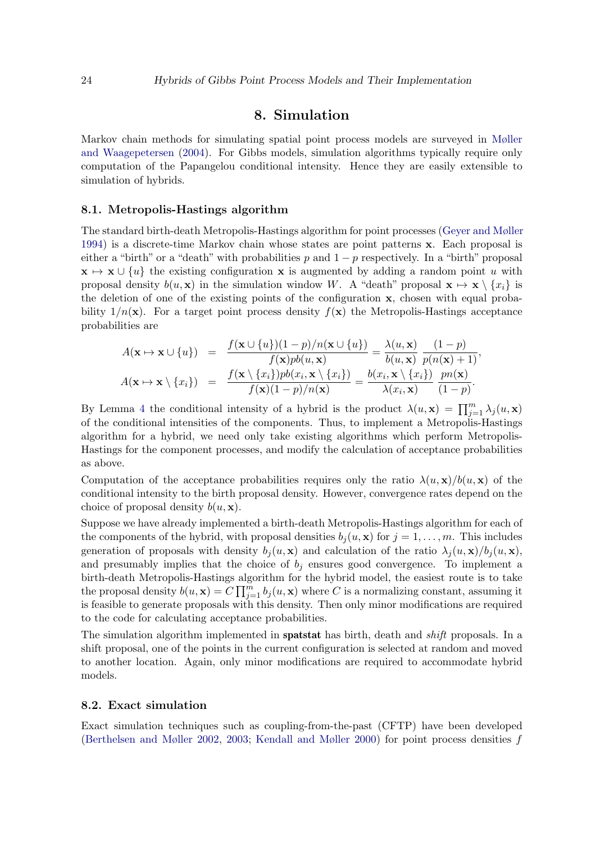### 8. Simulation

<span id="page-23-0"></span>Markov chain methods for simulating spatial point process models are surveyed in [Møller](#page-41-0) [and Waagepetersen](#page-41-0) [\(2004\)](#page-41-0). For Gibbs models, simulation algorithms typically require only computation of the Papangelou conditional intensity. Hence they are easily extensible to simulation of hybrids.

#### 8.1. Metropolis-Hastings algorithm

The standard birth-death Metropolis-Hastings algorithm for point processes [\(Geyer and Møller](#page-40-1) [1994\)](#page-40-1) is a discrete-time Markov chain whose states are point patterns x. Each proposal is either a "birth" or a "death" with probabilities p and  $1 - p$  respectively. In a "birth" proposal  $\mathbf{x} \mapsto \mathbf{x} \cup \{u\}$  the existing configuration x is augmented by adding a random point u with proposal density  $b(u, x)$  in the simulation window W. A "death" proposal  $x \mapsto x \setminus \{x_i\}$  is the deletion of one of the existing points of the configuration x, chosen with equal probability  $1/n(\mathbf{x})$ . For a target point process density  $f(\mathbf{x})$  the Metropolis-Hastings acceptance probabilities are

$$
A(\mathbf{x} \mapsto \mathbf{x} \cup \{u\}) = \frac{f(\mathbf{x} \cup \{u\})(1-p)/n(\mathbf{x} \cup \{u\})}{f(\mathbf{x})pb(u, \mathbf{x})} = \frac{\lambda(u, \mathbf{x})}{b(u, \mathbf{x})} \frac{(1-p)}{p(n(\mathbf{x})+1)},
$$
  

$$
A(\mathbf{x} \mapsto \mathbf{x} \setminus \{x_i\}) = \frac{f(\mathbf{x} \setminus \{x_i\})pb(x_i, \mathbf{x} \setminus \{x_i\})}{f(\mathbf{x})(1-p)/n(\mathbf{x})} = \frac{b(x_i, \mathbf{x} \setminus \{x_i\})}{\lambda(x_i, \mathbf{x})} \frac{pn(\mathbf{x})}{(1-p)}.
$$

By Lemma [4](#page-10-3) the conditional intensity of a hybrid is the product  $\lambda(u, \mathbf{x}) = \prod_{j=1}^{m} \lambda_j(u, \mathbf{x})$ of the conditional intensities of the components. Thus, to implement a Metropolis-Hastings algorithm for a hybrid, we need only take existing algorithms which perform Metropolis-Hastings for the component processes, and modify the calculation of acceptance probabilities as above.

Computation of the acceptance probabilities requires only the ratio  $\lambda(u, \mathbf{x})/b(u, \mathbf{x})$  of the conditional intensity to the birth proposal density. However, convergence rates depend on the choice of proposal density  $b(u, \mathbf{x})$ .

Suppose we have already implemented a birth-death Metropolis-Hastings algorithm for each of the components of the hybrid, with proposal densities  $b_i(u, \mathbf{x})$  for  $j = 1, \ldots, m$ . This includes generation of proposals with density  $b_j(u, x)$  and calculation of the ratio  $\lambda_j(u, x)/b_j(u, x)$ , and presumably implies that the choice of  $b_i$  ensures good convergence. To implement a birth-death Metropolis-Hastings algorithm for the hybrid model, the easiest route is to take the proposal density  $b(u, \mathbf{x}) = C \prod_{j=1}^{m} b_j(u, \mathbf{x})$  where C is a normalizing constant, assuming it is feasible to generate proposals with this density. Then only minor modifications are required to the code for calculating acceptance probabilities.

The simulation algorithm implemented in **spatstat** has birth, death and *shift* proposals. In a shift proposal, one of the points in the current configuration is selected at random and moved to another location. Again, only minor modifications are required to accommodate hybrid models.

### <span id="page-23-1"></span>8.2. Exact simulation

Exact simulation techniques such as coupling-from-the-past (CFTP) have been developed [\(Berthelsen and Møller](#page-39-9) [2002,](#page-39-9) [2003;](#page-39-10) [Kendall and Møller](#page-40-12) [2000\)](#page-40-12) for point process densities f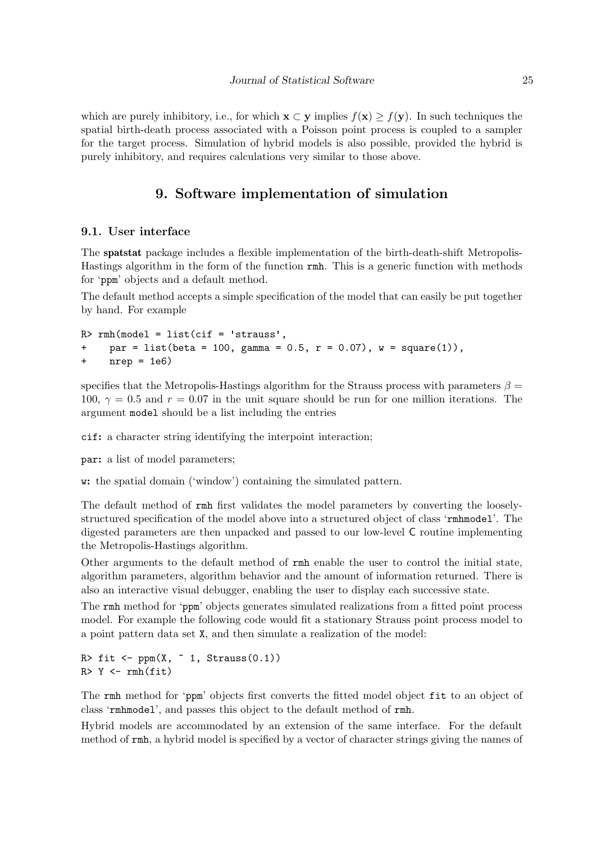which are purely inhibitory, i.e., for which  $\mathbf{x} \subset \mathbf{y}$  implies  $f(\mathbf{x}) \geq f(\mathbf{y})$ . In such techniques the spatial birth-death process associated with a Poisson point process is coupled to a sampler for the target process. Simulation of hybrid models is also possible, provided the hybrid is purely inhibitory, and requires calculations very similar to those above.

### 9. Software implementation of simulation

### <span id="page-24-0"></span>9.1. User interface

The spatstat package includes a flexible implementation of the birth-death-shift Metropolis-Hastings algorithm in the form of the function rmh. This is a generic function with methods for 'ppm' objects and a default method.

The default method accepts a simple specification of the model that can easily be put together by hand. For example

 $R>$  rmh(model = list(cif = 'strauss', + par = list(beta = 100, gamma =  $0.5$ , r =  $0.07$ ), w = square(1)),  $nrep = 1e6$ 

specifies that the Metropolis-Hastings algorithm for the Strauss process with parameters  $\beta =$ 100,  $\gamma = 0.5$  and  $r = 0.07$  in the unit square should be run for one million iterations. The argument model should be a list including the entries

cif: a character string identifying the interpoint interaction;

par: a list of model parameters;

w: the spatial domain ('window') containing the simulated pattern.

The default method of rmh first validates the model parameters by converting the looselystructured specification of the model above into a structured object of class 'rmhmodel'. The digested parameters are then unpacked and passed to our low-level C routine implementing the Metropolis-Hastings algorithm.

Other arguments to the default method of rmh enable the user to control the initial state, algorithm parameters, algorithm behavior and the amount of information returned. There is also an interactive visual debugger, enabling the user to display each successive state.

The rmh method for 'ppm' objects generates simulated realizations from a fitted point process model. For example the following code would fit a stationary Strauss point process model to a point pattern data set X, and then simulate a realization of the model:

```
R> fit <- ppm(X, " 1, Strauss(0.1))R > Y < -rmh(fit)
```
The rmh method for 'ppm' objects first converts the fitted model object fit to an object of class 'rmhmodel', and passes this object to the default method of rmh.

Hybrid models are accommodated by an extension of the same interface. For the default method of rmh, a hybrid model is specified by a vector of character strings giving the names of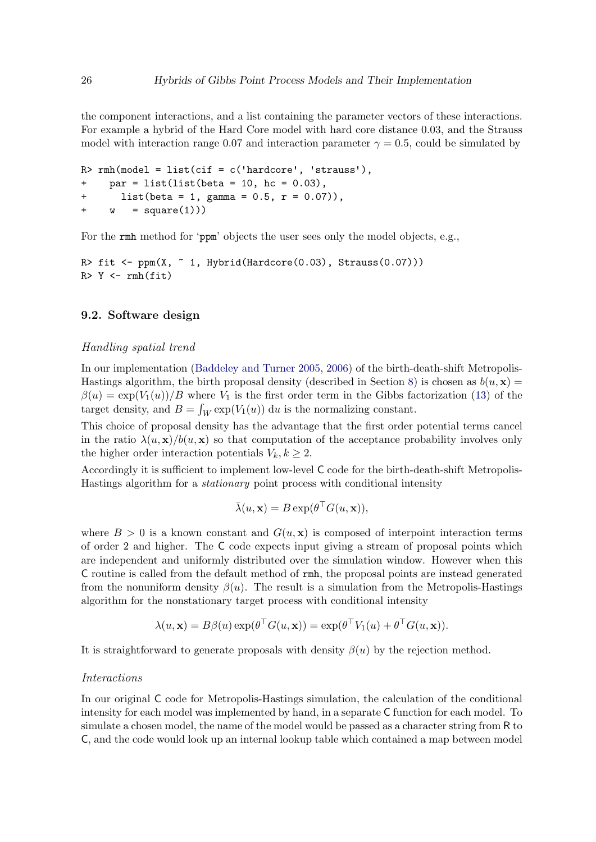the component interactions, and a list containing the parameter vectors of these interactions. For example a hybrid of the Hard Core model with hard core distance 0.03, and the Strauss model with interaction range 0.07 and interaction parameter  $\gamma = 0.5$ , could be simulated by

```
R> rm(model = list(cif = c('hardcore', 'strauss')),
+ par = list(list(beta = 10, hc = 0.03),
+ list(beta = 1, gamma = 0.5, r = 0.07)),
+ w = square(1))
```
For the rmh method for 'ppm' objects the user sees only the model objects, e.g.,

```
R> fit <- ppm(X, "1, Hybrid(Hardcore(0.03), Strauss(0.07)))R > Y < -rmh(fit)
```
### 9.2. Software design

#### Handling spatial trend

In our implementation [\(Baddeley and Turner](#page-38-2) [2005,](#page-38-2) [2006\)](#page-38-1) of the birth-death-shift Metropolis-Hastings algorithm, the birth proposal density (described in Section [8\)](#page-23-0) is chosen as  $b(u, \mathbf{x}) =$  $\beta(u) = \exp(V_1(u))/B$  where  $V_1$  is the first order term in the Gibbs factorization [\(13\)](#page-7-1) of the target density, and  $B = \int_W \exp(V_1(u)) du$  is the normalizing constant.

This choice of proposal density has the advantage that the first order potential terms cancel in the ratio  $\lambda(u, \mathbf{x})/b(u, \mathbf{x})$  so that computation of the acceptance probability involves only the higher order interaction potentials  $V_k, k \geq 2$ .

Accordingly it is sufficient to implement low-level C code for the birth-death-shift Metropolis-Hastings algorithm for a stationary point process with conditional intensity

$$
\bar{\lambda}(u, \mathbf{x}) = B \exp(\theta^\top G(u, \mathbf{x})),
$$

where  $B > 0$  is a known constant and  $G(u, x)$  is composed of interpoint interaction terms of order 2 and higher. The C code expects input giving a stream of proposal points which are independent and uniformly distributed over the simulation window. However when this C routine is called from the default method of rmh, the proposal points are instead generated from the nonuniform density  $\beta(u)$ . The result is a simulation from the Metropolis-Hastings algorithm for the nonstationary target process with conditional intensity

$$
\lambda(u, \mathbf{x}) = B\beta(u) \exp(\theta^\top G(u, \mathbf{x})) = \exp(\theta^\top V_1(u) + \theta^\top G(u, \mathbf{x})).
$$

It is straightforward to generate proposals with density  $\beta(u)$  by the rejection method.

#### Interactions

In our original C code for Metropolis-Hastings simulation, the calculation of the conditional intensity for each model was implemented by hand, in a separate C function for each model. To simulate a chosen model, the name of the model would be passed as a character string from R to C, and the code would look up an internal lookup table which contained a map between model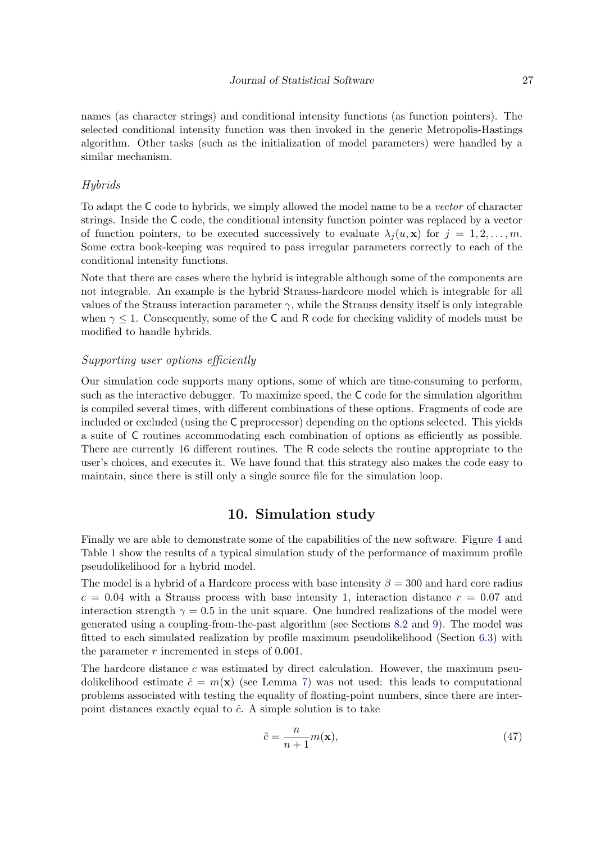names (as character strings) and conditional intensity functions (as function pointers). The selected conditional intensity function was then invoked in the generic Metropolis-Hastings algorithm. Other tasks (such as the initialization of model parameters) were handled by a similar mechanism.

### Hybrids

To adapt the C code to hybrids, we simply allowed the model name to be a vector of character strings. Inside the C code, the conditional intensity function pointer was replaced by a vector of function pointers, to be executed successively to evaluate  $\lambda_i(u, \mathbf{x})$  for  $j = 1, 2, \ldots, m$ . Some extra book-keeping was required to pass irregular parameters correctly to each of the conditional intensity functions.

Note that there are cases where the hybrid is integrable although some of the components are not integrable. An example is the hybrid Strauss-hardcore model which is integrable for all values of the Strauss interaction parameter  $\gamma$ , while the Strauss density itself is only integrable when  $\gamma \leq 1$ . Consequently, some of the C and R code for checking validity of models must be modified to handle hybrids.

### Supporting user options efficiently

Our simulation code supports many options, some of which are time-consuming to perform, such as the interactive debugger. To maximize speed, the C code for the simulation algorithm is compiled several times, with different combinations of these options. Fragments of code are included or excluded (using the C preprocessor) depending on the options selected. This yields a suite of C routines accommodating each combination of options as efficiently as possible. There are currently 16 different routines. The R code selects the routine appropriate to the user's choices, and executes it. We have found that this strategy also makes the code easy to maintain, since there is still only a single source file for the simulation loop.

### 10. Simulation study

<span id="page-26-0"></span>Finally we are able to demonstrate some of the capabilities of the new software. Figure [4](#page-27-1) and Table [1](#page-27-2) show the results of a typical simulation study of the performance of maximum profile pseudolikelihood for a hybrid model.

The model is a hybrid of a Hardcore process with base intensity  $\beta = 300$  and hard core radius  $c = 0.04$  with a Strauss process with base intensity 1, interaction distance  $r = 0.07$  and interaction strength  $\gamma = 0.5$  in the unit square. One hundred realizations of the model were generated using a coupling-from-the-past algorithm (see Sections [8.2](#page-23-1) and [9\)](#page-24-0). The model was fitted to each simulated realization by profile maximum pseudolikelihood (Section [6.3\)](#page-17-1) with the parameter  $r$  incremented in steps of 0.001.

The hardcore distance  $c$  was estimated by direct calculation. However, the maximum pseudolikelihood estimate  $\hat{c} = m(\mathbf{x})$  (see Lemma [7\)](#page-18-0) was not used: this leads to computational problems associated with testing the equality of floating-point numbers, since there are interpoint distances exactly equal to  $\hat{c}$ . A simple solution is to take

$$
\tilde{c} = \frac{n}{n+1} m(\mathbf{x}),\tag{47}
$$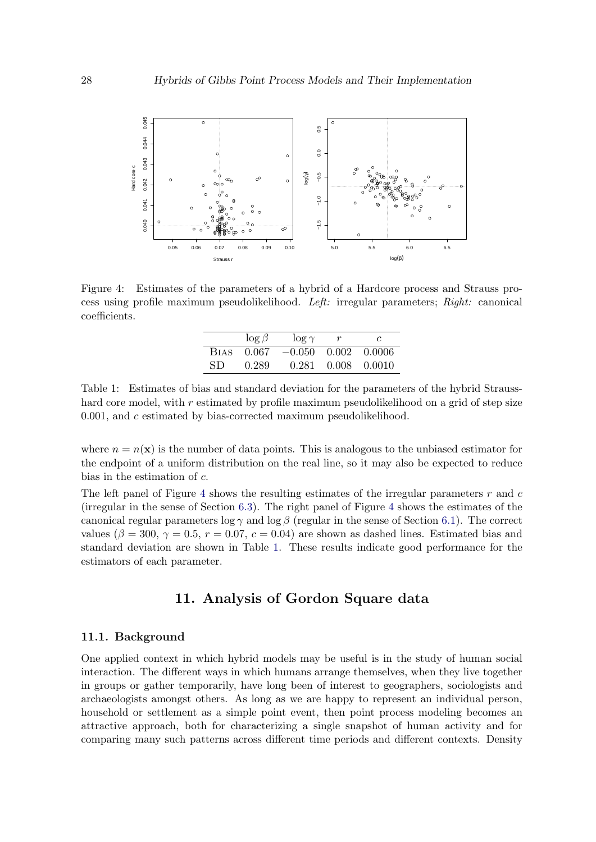

<span id="page-27-1"></span>Figure 4: Estimates of the parameters of a hybrid of a Hardcore process and Strauss process using profile maximum pseudolikelihood. Left: irregular parameters; Right: canonical coefficients.

|             | $\log \beta$ | $\log \gamma$ | c                |
|-------------|--------------|---------------|------------------|
| <b>BIAS</b> | 0.067        | $-0.050$      | $0.002 - 0.0006$ |
| SD.         | 0.289        | 0.281         | $0.008$ $0.0010$ |

<span id="page-27-2"></span>Table 1: Estimates of bias and standard deviation for the parameters of the hybrid Strausshard core model, with  $r$  estimated by profile maximum pseudolikelihood on a grid of step size 0.001, and c estimated by bias-corrected maximum pseudolikelihood.

where  $n = n(\mathbf{x})$  is the number of data points. This is analogous to the unbiased estimator for the endpoint of a uniform distribution on the real line, so it may also be expected to reduce bias in the estimation of c.

The left panel of Figure [4](#page-27-1) shows the resulting estimates of the irregular parameters  $r$  and  $c$ (irregular in the sense of Section [6.3\)](#page-17-1). The right panel of Figure [4](#page-27-1) shows the estimates of the canonical regular parameters log  $\gamma$  and log  $\beta$  (regular in the sense of Section [6.1\)](#page-15-3). The correct values ( $\beta = 300, \gamma = 0.5, r = 0.07, c = 0.04$ ) are shown as dashed lines. Estimated bias and standard deviation are shown in Table [1.](#page-27-2) These results indicate good performance for the estimators of each parameter.

### 11. Analysis of Gordon Square data

### <span id="page-27-0"></span>11.1. Background

One applied context in which hybrid models may be useful is in the study of human social interaction. The different ways in which humans arrange themselves, when they live together in groups or gather temporarily, have long been of interest to geographers, sociologists and archaeologists amongst others. As long as we are happy to represent an individual person, household or settlement as a simple point event, then point process modeling becomes an attractive approach, both for characterizing a single snapshot of human activity and for comparing many such patterns across different time periods and different contexts. Density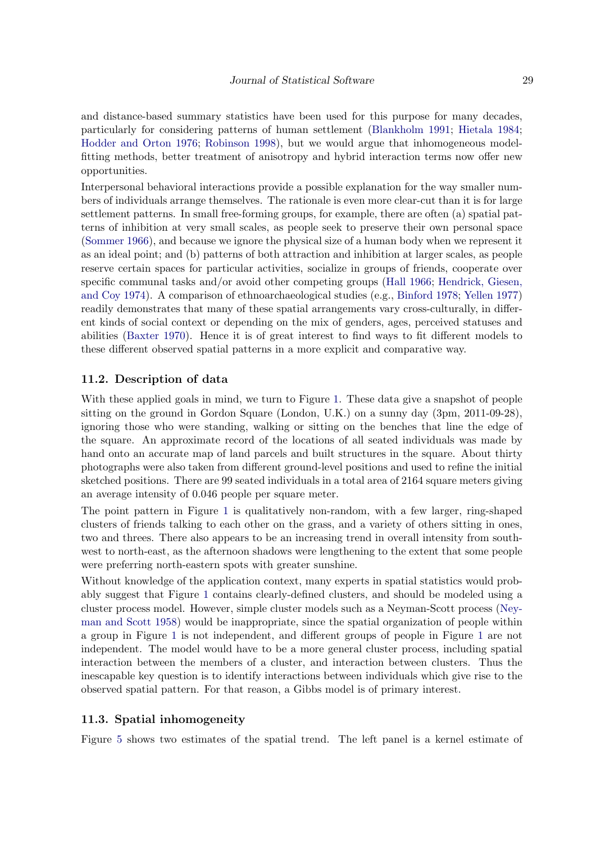and distance-based summary statistics have been used for this purpose for many decades, particularly for considering patterns of human settlement [\(Blankholm](#page-39-11) [1991;](#page-39-11) [Hietala](#page-40-13) [1984;](#page-40-13) [Hodder and Orton](#page-40-14) [1976;](#page-40-14) [Robinson](#page-41-12) [1998\)](#page-41-12), but we would argue that inhomogeneous modelfitting methods, better treatment of anisotropy and hybrid interaction terms now offer new opportunities.

Interpersonal behavioral interactions provide a possible explanation for the way smaller numbers of individuals arrange themselves. The rationale is even more clear-cut than it is for large settlement patterns. In small free-forming groups, for example, there are often (a) spatial patterns of inhibition at very small scales, as people seek to preserve their own personal space [\(Sommer](#page-41-13) [1966\)](#page-41-13), and because we ignore the physical size of a human body when we represent it as an ideal point; and (b) patterns of both attraction and inhibition at larger scales, as people reserve certain spaces for particular activities, socialize in groups of friends, cooperate over specific communal tasks and/or avoid other competing groups [\(Hall](#page-40-15) [1966;](#page-40-15) [Hendrick, Giesen,](#page-40-16) [and Coy](#page-40-16) [1974\)](#page-40-16). A comparison of ethnoarchaeological studies (e.g., [Binford](#page-39-12) [1978;](#page-39-12) [Yellen](#page-42-1) [1977\)](#page-42-1) readily demonstrates that many of these spatial arrangements vary cross-culturally, in different kinds of social context or depending on the mix of genders, ages, perceived statuses and abilities [\(Baxter](#page-39-13) [1970\)](#page-39-13). Hence it is of great interest to find ways to fit different models to these different observed spatial patterns in a more explicit and comparative way.

### 11.2. Description of data

With these applied goals in mind, we turn to Figure [1.](#page-1-0) These data give a snapshot of people sitting on the ground in Gordon Square (London, U.K.) on a sunny day (3pm, 2011-09-28), ignoring those who were standing, walking or sitting on the benches that line the edge of the square. An approximate record of the locations of all seated individuals was made by hand onto an accurate map of land parcels and built structures in the square. About thirty photographs were also taken from different ground-level positions and used to refine the initial sketched positions. There are 99 seated individuals in a total area of 2164 square meters giving an average intensity of 0.046 people per square meter.

The point pattern in Figure [1](#page-1-0) is qualitatively non-random, with a few larger, ring-shaped clusters of friends talking to each other on the grass, and a variety of others sitting in ones, two and threes. There also appears to be an increasing trend in overall intensity from southwest to north-east, as the afternoon shadows were lengthening to the extent that some people were preferring north-eastern spots with greater sunshine.

Without knowledge of the application context, many experts in spatial statistics would probably suggest that Figure [1](#page-1-0) contains clearly-defined clusters, and should be modeled using a cluster process model. However, simple cluster models such as a Neyman-Scott process [\(Ney](#page-41-14)[man and Scott](#page-41-14) [1958\)](#page-41-14) would be inappropriate, since the spatial organization of people within a group in Figure [1](#page-1-0) is not independent, and different groups of people in Figure [1](#page-1-0) are not independent. The model would have to be a more general cluster process, including spatial interaction between the members of a cluster, and interaction between clusters. Thus the inescapable key question is to identify interactions between individuals which give rise to the observed spatial pattern. For that reason, a Gibbs model is of primary interest.

### 11.3. Spatial inhomogeneity

Figure [5](#page-29-0) shows two estimates of the spatial trend. The left panel is a kernel estimate of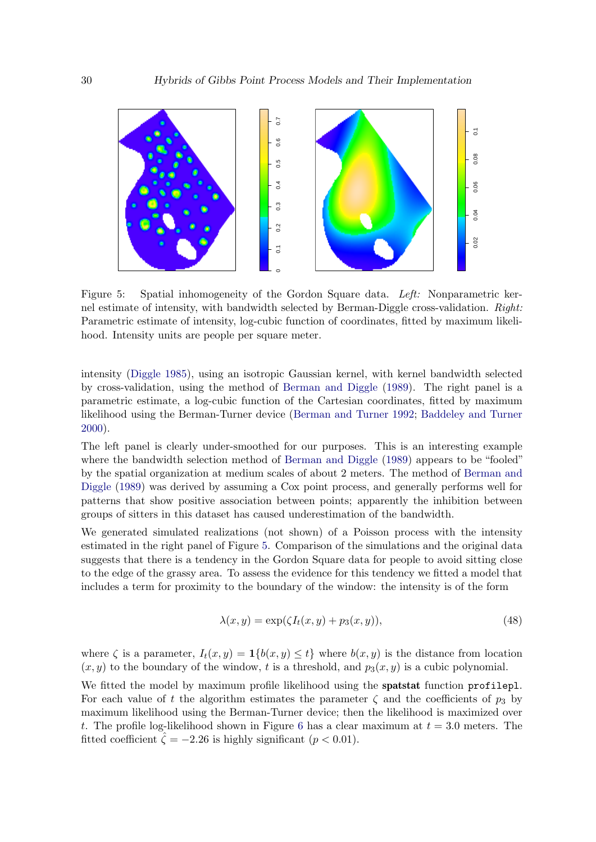

<span id="page-29-0"></span>Figure 5: Spatial inhomogeneity of the Gordon Square data. Left: Nonparametric kernel estimate of intensity, with bandwidth selected by Berman-Diggle cross-validation. Right: Parametric estimate of intensity, log-cubic function of coordinates, fitted by maximum likelihood. Intensity units are people per square meter.

intensity [\(Diggle](#page-39-14) [1985\)](#page-39-14), using an isotropic Gaussian kernel, with kernel bandwidth selected by cross-validation, using the method of [Berman and Diggle](#page-39-15) [\(1989\)](#page-39-15). The right panel is a parametric estimate, a log-cubic function of the Cartesian coordinates, fitted by maximum likelihood using the Berman-Turner device [\(Berman and Turner](#page-39-7) [1992;](#page-39-7) [Baddeley and Turner](#page-38-0) [2000\)](#page-38-0).

The left panel is clearly under-smoothed for our purposes. This is an interesting example where the bandwidth selection method of [Berman and Diggle](#page-39-15) [\(1989\)](#page-39-15) appears to be "fooled" by the spatial organization at medium scales of about 2 meters. The method of [Berman and](#page-39-15) [Diggle](#page-39-15) [\(1989\)](#page-39-15) was derived by assuming a Cox point process, and generally performs well for patterns that show positive association between points; apparently the inhibition between groups of sitters in this dataset has caused underestimation of the bandwidth.

We generated simulated realizations (not shown) of a Poisson process with the intensity estimated in the right panel of Figure [5.](#page-29-0) Comparison of the simulations and the original data suggests that there is a tendency in the Gordon Square data for people to avoid sitting close to the edge of the grassy area. To assess the evidence for this tendency we fitted a model that includes a term for proximity to the boundary of the window: the intensity is of the form

<span id="page-29-1"></span>
$$
\lambda(x, y) = \exp(\zeta I_t(x, y) + p_3(x, y)),\tag{48}
$$

where  $\zeta$  is a parameter,  $I_t(x, y) = \mathbf{1}\{b(x, y) \le t\}$  where  $b(x, y)$  is the distance from location  $(x, y)$  to the boundary of the window, t is a threshold, and  $p_3(x, y)$  is a cubic polynomial.

We fitted the model by maximum profile likelihood using the spatstat function profilepl. For each value of t the algorithm estimates the parameter  $\zeta$  and the coefficients of  $p_3$  by maximum likelihood using the Berman-Turner device; then the likelihood is maximized over t. The profile log-likelihood shown in Figure [6](#page-30-0) has a clear maximum at  $t = 3.0$  meters. The fitted coefficient  $\hat{\zeta} = -2.26$  is highly significant  $(p < 0.01)$ .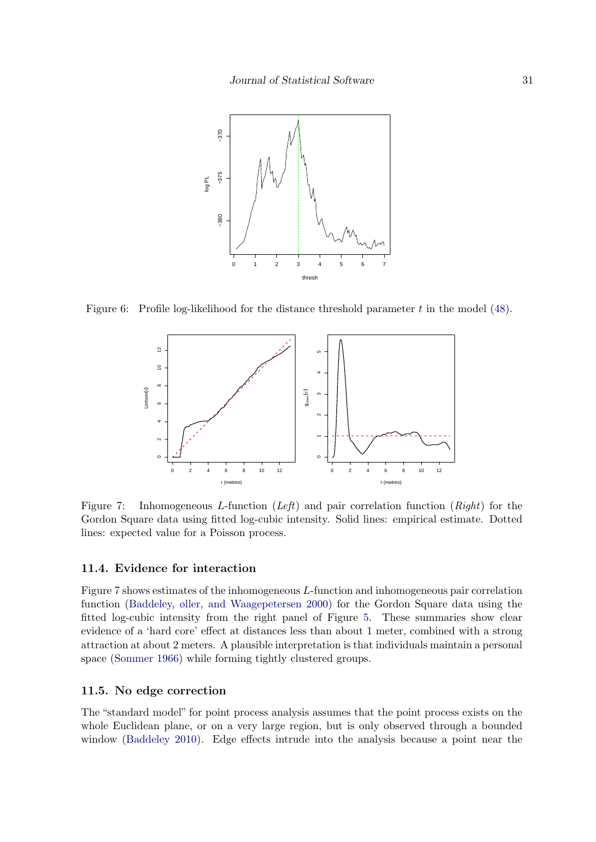

Figure 6: Profile log-likelihood for the distance threshold parameter t in the model  $(48)$ .

<span id="page-30-0"></span>

<span id="page-30-1"></span>Figure 7: Inhomogeneous L-function  $(Left)$  and pair correlation function  $(Right)$  for the Gordon Square data using fitted log-cubic intensity. Solid lines: empirical estimate. Dotted lines: expected value for a Poisson process.

### 11.4. Evidence for interaction

Figure [7](#page-30-1) shows estimates of the inhomogeneous L-function and inhomogeneous pair correlation function [\(Baddeley, øller, and Waagepetersen](#page-38-11) [2000\)](#page-38-11) for the Gordon Square data using the fitted log-cubic intensity from the right panel of Figure [5.](#page-29-0) These summaries show clear evidence of a 'hard core' effect at distances less than about 1 meter, combined with a strong attraction at about 2 meters. A plausible interpretation is that individuals maintain a personal space [\(Sommer](#page-41-13) [1966\)](#page-41-13) while forming tightly clustered groups.

#### 11.5. No edge correction

The "standard model" for point process analysis assumes that the point process exists on the whole Euclidean plane, or on a very large region, but is only observed through a bounded window [\(Baddeley](#page-38-12) [2010\)](#page-38-12). Edge effects intrude into the analysis because a point near the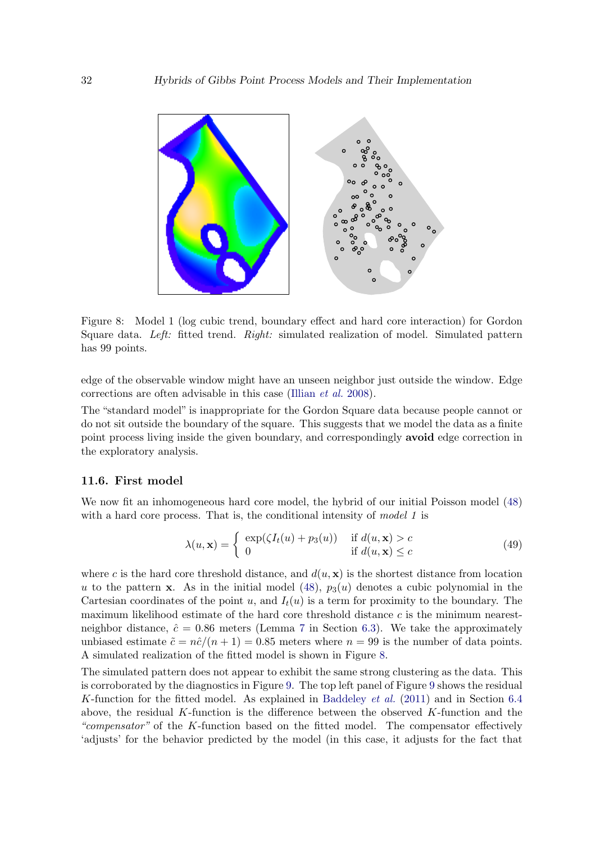

<span id="page-31-0"></span>Figure 8: Model 1 (log cubic trend, boundary effect and hard core interaction) for Gordon Square data. Left: fitted trend. Right: simulated realization of model. Simulated pattern has 99 points.

edge of the observable window might have an unseen neighbor just outside the window. Edge corrections are often advisable in this case [\(Illian](#page-40-2) et al. [2008\)](#page-40-2).

The "standard model" is inappropriate for the Gordon Square data because people cannot or do not sit outside the boundary of the square. This suggests that we model the data as a finite point process living inside the given boundary, and correspondingly avoid edge correction in the exploratory analysis.

### 11.6. First model

We now fit an inhomogeneous hard core model, the hybrid of our initial Poisson model [\(48\)](#page-29-1) with a hard core process. That is, the conditional intensity of model 1 is

$$
\lambda(u, \mathbf{x}) = \begin{cases} \exp(\zeta I_t(u) + p_3(u)) & \text{if } d(u, \mathbf{x}) > c \\ 0 & \text{if } d(u, \mathbf{x}) \le c \end{cases}
$$
(49)

where c is the hard core threshold distance, and  $d(u, \mathbf{x})$  is the shortest distance from location u to the pattern x. As in the initial model [\(48\)](#page-29-1),  $p_3(u)$  denotes a cubic polynomial in the Cartesian coordinates of the point u, and  $I_t(u)$  is a term for proximity to the boundary. The maximum likelihood estimate of the hard core threshold distance  $c$  is the minimum nearestneighbor distance,  $\hat{c} = 0.86$  meters (Lemma [7](#page-18-0) in Section [6.3\)](#page-17-1). We take the approximately unbiased estimate  $\tilde{c} = n\hat{c}/(n+1) = 0.85$  meters where  $n = 99$  is the number of data points. A simulated realization of the fitted model is shown in Figure [8.](#page-31-0)

The simulated pattern does not appear to exhibit the same strong clustering as the data. This is corroborated by the diagnostics in Figure [9.](#page-32-0) The top left panel of Figure [9](#page-32-0) shows the residual K-function for the fitted model. As explained in [Baddeley](#page-38-6) et al. [\(2011\)](#page-38-6) and in Section [6.4](#page-19-3) above, the residual  $K$ -function is the difference between the observed  $K$ -function and the "compensator" of the K-function based on the fitted model. The compensator effectively 'adjusts' for the behavior predicted by the model (in this case, it adjusts for the fact that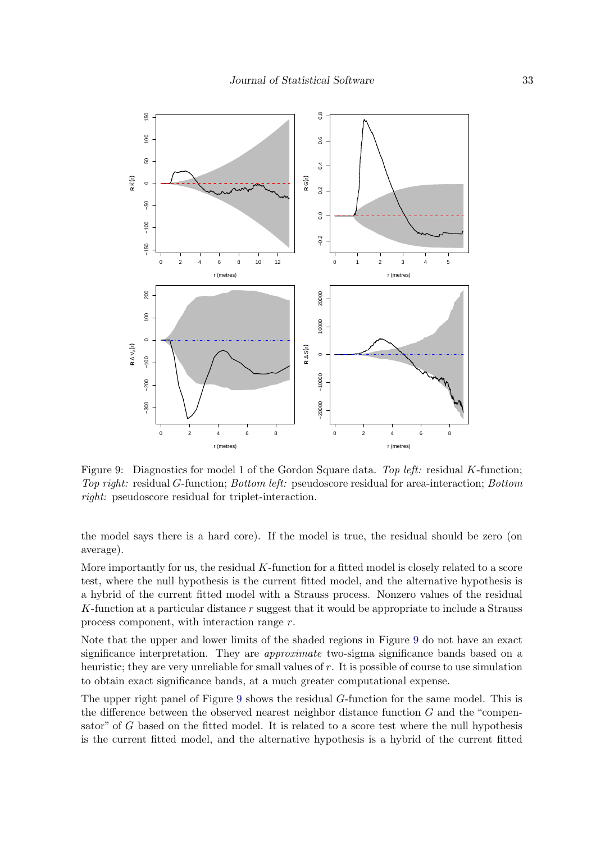

<span id="page-32-0"></span>Figure 9: Diagnostics for model 1 of the Gordon Square data. Top left: residual K-function; Top right: residual G-function; Bottom left: pseudoscore residual for area-interaction; Bottom right: pseudoscore residual for triplet-interaction.

the model says there is a hard core). If the model is true, the residual should be zero (on average).

More importantly for us, the residual  $K$ -function for a fitted model is closely related to a score test, where the null hypothesis is the current fitted model, and the alternative hypothesis is a hybrid of the current fitted model with a Strauss process. Nonzero values of the residual K-function at a particular distance r suggest that it would be appropriate to include a Strauss process component, with interaction range r.

Note that the upper and lower limits of the shaded regions in Figure [9](#page-32-0) do not have an exact significance interpretation. They are approximate two-sigma significance bands based on a heuristic; they are very unreliable for small values of r. It is possible of course to use simulation to obtain exact significance bands, at a much greater computational expense.

The upper right panel of Figure [9](#page-32-0) shows the residual G-function for the same model. This is the difference between the observed nearest neighbor distance function  $G$  and the "compensator" of G based on the fitted model. It is related to a score test where the null hypothesis is the current fitted model, and the alternative hypothesis is a hybrid of the current fitted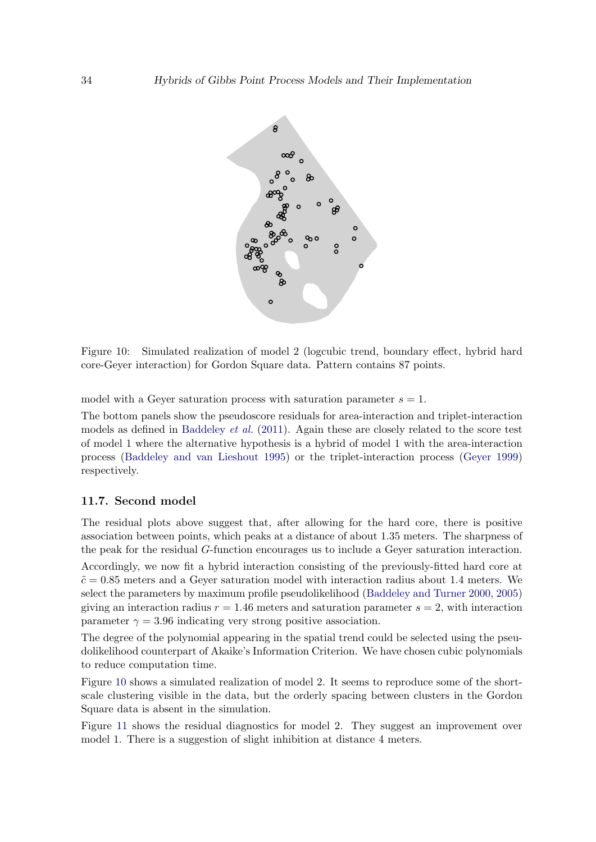

<span id="page-33-0"></span>Figure 10: Simulated realization of model 2 (logcubic trend, boundary effect, hybrid hard core-Geyer interaction) for Gordon Square data. Pattern contains 87 points.

model with a Geyer saturation process with saturation parameter  $s = 1$ .

The bottom panels show the pseudoscore residuals for area-interaction and triplet-interaction models as defined in [Baddeley](#page-38-6) *et al.* [\(2011\)](#page-38-6). Again these are closely related to the score test of model 1 where the alternative hypothesis is a hybrid of model 1 with the area-interaction process [\(Baddeley and van Lieshout](#page-39-3) [1995\)](#page-39-3) or the triplet-interaction process [\(Geyer](#page-39-1) [1999\)](#page-39-1) respectively.

### 11.7. Second model

The residual plots above suggest that, after allowing for the hard core, there is positive association between points, which peaks at a distance of about 1.35 meters. The sharpness of the peak for the residual G-function encourages us to include a Geyer saturation interaction. Accordingly, we now fit a hybrid interaction consisting of the previously-fitted hard core at  $\tilde{c} = 0.85$  meters and a Geyer saturation model with interaction radius about 1.4 meters. We select the parameters by maximum profile pseudolikelihood [\(Baddeley and Turner](#page-38-0) [2000,](#page-38-0) [2005\)](#page-38-2) giving an interaction radius  $r = 1.46$  meters and saturation parameter  $s = 2$ , with interaction parameter  $\gamma = 3.96$  indicating very strong positive association.

The degree of the polynomial appearing in the spatial trend could be selected using the pseudolikelihood counterpart of Akaike's Information Criterion. We have chosen cubic polynomials to reduce computation time.

Figure [10](#page-33-0) shows a simulated realization of model 2. It seems to reproduce some of the shortscale clustering visible in the data, but the orderly spacing between clusters in the Gordon Square data is absent in the simulation.

Figure [11](#page-34-0) shows the residual diagnostics for model 2. They suggest an improvement over model 1. There is a suggestion of slight inhibition at distance 4 meters.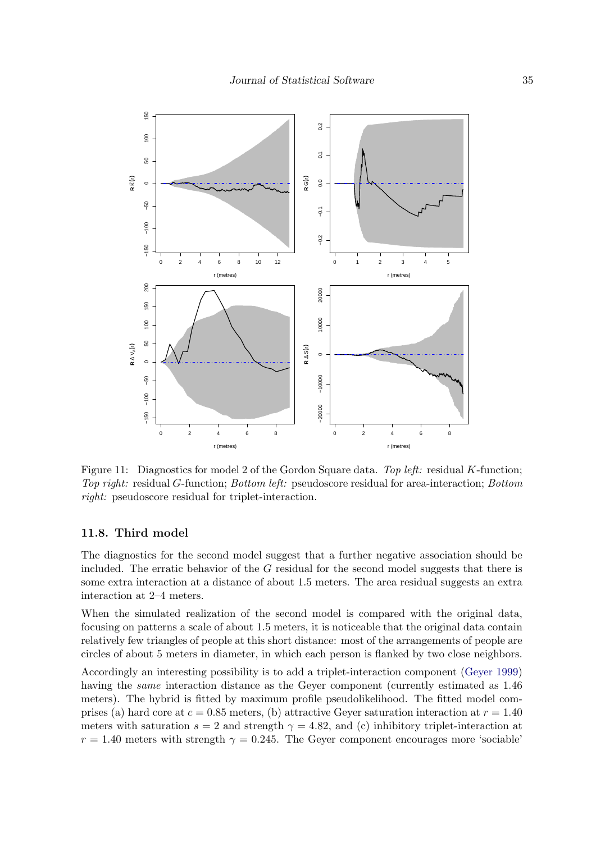

<span id="page-34-0"></span>Figure 11: Diagnostics for model 2 of the Gordon Square data. Top left: residual K-function; Top right: residual G-function; Bottom left: pseudoscore residual for area-interaction; Bottom right: pseudoscore residual for triplet-interaction.

### 11.8. Third model

The diagnostics for the second model suggest that a further negative association should be included. The erratic behavior of the  $G$  residual for the second model suggests that there is some extra interaction at a distance of about 1.5 meters. The area residual suggests an extra interaction at 2–4 meters.

When the simulated realization of the second model is compared with the original data, focusing on patterns a scale of about 1.5 meters, it is noticeable that the original data contain relatively few triangles of people at this short distance: most of the arrangements of people are circles of about 5 meters in diameter, in which each person is flanked by two close neighbors.

Accordingly an interesting possibility is to add a triplet-interaction component [\(Geyer](#page-39-1) [1999\)](#page-39-1) having the *same* interaction distance as the Geyer component (currently estimated as  $1.46$ ) meters). The hybrid is fitted by maximum profile pseudolikelihood. The fitted model comprises (a) hard core at  $c = 0.85$  meters, (b) attractive Geyer saturation interaction at  $r = 1.40$ meters with saturation  $s = 2$  and strength  $\gamma = 4.82$ , and (c) inhibitory triplet-interaction at  $r = 1.40$  meters with strength  $\gamma = 0.245$ . The Geyer component encourages more 'sociable'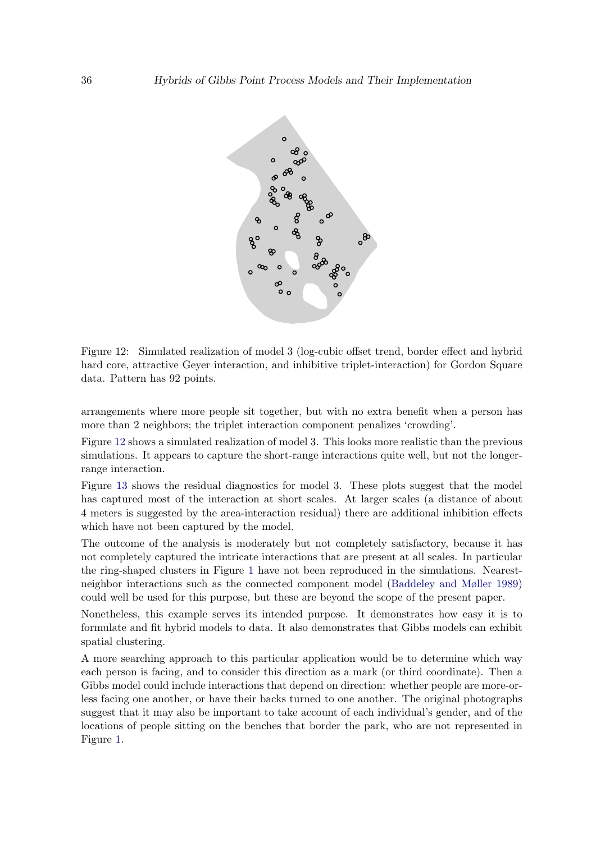

<span id="page-35-0"></span>Figure 12: Simulated realization of model 3 (log-cubic offset trend, border effect and hybrid hard core, attractive Geyer interaction, and inhibitive triplet-interaction) for Gordon Square data. Pattern has 92 points.

arrangements where more people sit together, but with no extra benefit when a person has more than 2 neighbors; the triplet interaction component penalizes 'crowding'.

Figure [12](#page-35-0) shows a simulated realization of model 3. This looks more realistic than the previous simulations. It appears to capture the short-range interactions quite well, but not the longerrange interaction.

Figure [13](#page-36-1) shows the residual diagnostics for model 3. These plots suggest that the model has captured most of the interaction at short scales. At larger scales (a distance of about 4 meters is suggested by the area-interaction residual) there are additional inhibition effects which have not been captured by the model.

The outcome of the analysis is moderately but not completely satisfactory, because it has not completely captured the intricate interactions that are present at all scales. In particular the ring-shaped clusters in Figure [1](#page-1-0) have not been reproduced in the simulations. Nearestneighbor interactions such as the connected component model [\(Baddeley and Møller](#page-38-13) [1989\)](#page-38-13) could well be used for this purpose, but these are beyond the scope of the present paper.

Nonetheless, this example serves its intended purpose. It demonstrates how easy it is to formulate and fit hybrid models to data. It also demonstrates that Gibbs models can exhibit spatial clustering.

A more searching approach to this particular application would be to determine which way each person is facing, and to consider this direction as a mark (or third coordinate). Then a Gibbs model could include interactions that depend on direction: whether people are more-orless facing one another, or have their backs turned to one another. The original photographs suggest that it may also be important to take account of each individual's gender, and of the locations of people sitting on the benches that border the park, who are not represented in Figure [1.](#page-1-0)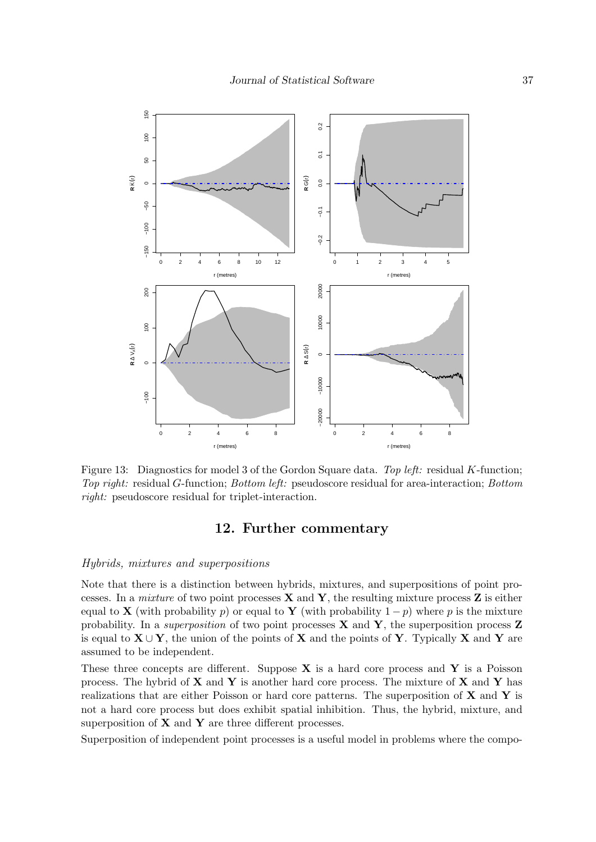

<span id="page-36-1"></span>Figure 13: Diagnostics for model 3 of the Gordon Square data. Top left: residual K-function; Top right: residual G-function; Bottom left: pseudoscore residual for area-interaction; Bottom right: pseudoscore residual for triplet-interaction.

### 12. Further commentary

### <span id="page-36-0"></span>Hybrids, mixtures and superpositions

Note that there is a distinction between hybrids, mixtures, and superpositions of point processes. In a *mixture* of two point processes  $X$  and  $Y$ , the resulting mixture process  $Z$  is either equal to **X** (with probability p) or equal to **Y** (with probability  $1-p$ ) where p is the mixture probability. In a superposition of two point processes  $X$  and  $Y$ , the superposition process  $Z$ is equal to  $X \cup Y$ , the union of the points of X and the points of Y. Typically X and Y are assumed to be independent.

These three concepts are different. Suppose  $X$  is a hard core process and  $Y$  is a Poisson process. The hybrid of  $X$  and  $Y$  is another hard core process. The mixture of  $X$  and  $Y$  has realizations that are either Poisson or hard core patterns. The superposition of  $X$  and  $Y$  is not a hard core process but does exhibit spatial inhibition. Thus, the hybrid, mixture, and superposition of  $X$  and  $Y$  are three different processes.

Superposition of independent point processes is a useful model in problems where the compo-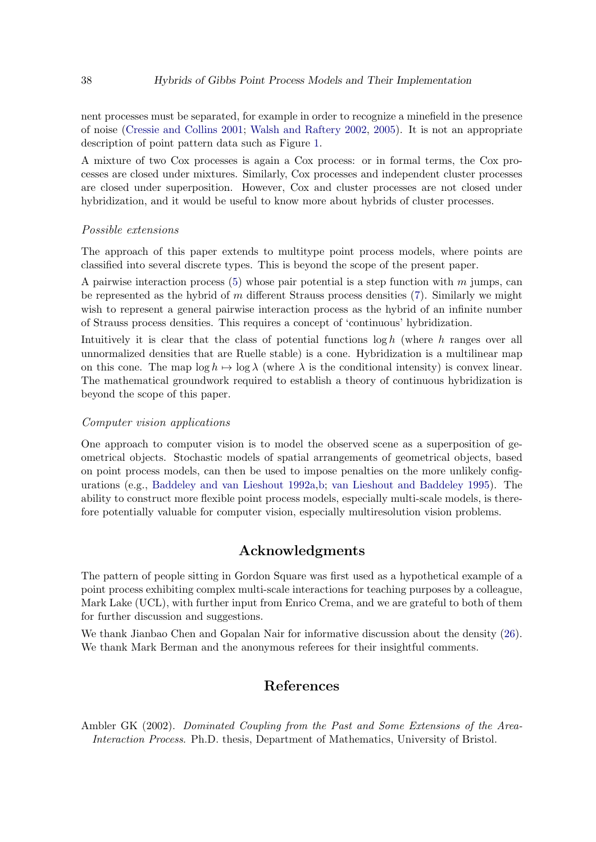nent processes must be separated, for example in order to recognize a minefield in the presence of noise [\(Cressie and Collins](#page-39-16) [2001;](#page-39-16) [Walsh and Raftery](#page-41-15) [2002,](#page-41-15) [2005\)](#page-41-16). It is not an appropriate description of point pattern data such as Figure [1.](#page-1-0)

A mixture of two Cox processes is again a Cox process: or in formal terms, the Cox processes are closed under mixtures. Similarly, Cox processes and independent cluster processes are closed under superposition. However, Cox and cluster processes are not closed under hybridization, and it would be useful to know more about hybrids of cluster processes.

#### Possible extensions

The approach of this paper extends to multitype point process models, where points are classified into several discrete types. This is beyond the scope of the present paper.

A pairwise interaction process  $(5)$  whose pair potential is a step function with m jumps, can be represented as the hybrid of  $m$  different Strauss process densities  $(7)$ . Similarly we might wish to represent a general pairwise interaction process as the hybrid of an infinite number of Strauss process densities. This requires a concept of 'continuous' hybridization.

Intuitively it is clear that the class of potential functions  $\log h$  (where h ranges over all unnormalized densities that are Ruelle stable) is a cone. Hybridization is a multilinear map on this cone. The map  $\log h \mapsto \log \lambda$  (where  $\lambda$  is the conditional intensity) is convex linear. The mathematical groundwork required to establish a theory of continuous hybridization is beyond the scope of this paper.

#### Computer vision applications

One approach to computer vision is to model the observed scene as a superposition of geometrical objects. Stochastic models of spatial arrangements of geometrical objects, based on point process models, can then be used to impose penalties on the more unlikely configurations (e.g., [Baddeley and van Lieshout](#page-38-14) [1992a,](#page-38-14)[b;](#page-38-15) [van Lieshout and Baddeley](#page-41-17) [1995\)](#page-41-17). The ability to construct more flexible point process models, especially multi-scale models, is therefore potentially valuable for computer vision, especially multiresolution vision problems.

### Acknowledgments

The pattern of people sitting in Gordon Square was first used as a hypothetical example of a point process exhibiting complex multi-scale interactions for teaching purposes by a colleague, Mark Lake (UCL), with further input from Enrico Crema, and we are grateful to both of them for further discussion and suggestions.

We thank Jianbao Chen and Gopalan Nair for informative discussion about the density [\(26\)](#page-14-0). We thank Mark Berman and the anonymous referees for their insightful comments.

### References

<span id="page-37-0"></span>Ambler GK (2002). Dominated Coupling from the Past and Some Extensions of the Area-Interaction Process. Ph.D. thesis, Department of Mathematics, University of Bristol.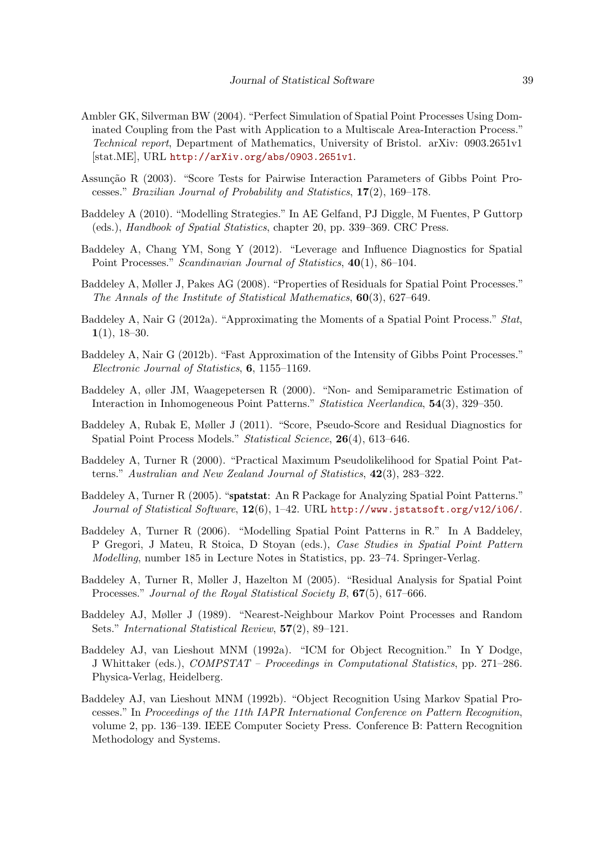- <span id="page-38-3"></span>Ambler GK, Silverman BW (2004). "Perfect Simulation of Spatial Point Processes Using Dominated Coupling from the Past with Application to a Multiscale Area-Interaction Process." Technical report, Department of Mathematics, University of Bristol. arXiv: 0903.2651v1 [stat.ME], URL <http://arXiv.org/abs/0903.2651v1>.
- <span id="page-38-7"></span>Assunção R (2003). "Score Tests for Pairwise Interaction Parameters of Gibbs Point Processes." Brazilian Journal of Probability and Statistics, 17(2), 169–178.
- <span id="page-38-12"></span>Baddeley A (2010). "Modelling Strategies." In AE Gelfand, PJ Diggle, M Fuentes, P Guttorp (eds.), Handbook of Spatial Statistics, chapter 20, pp. 339–369. CRC Press.
- <span id="page-38-10"></span>Baddeley A, Chang YM, Song Y (2012). "Leverage and Influence Diagnostics for Spatial Point Processes." Scandinavian Journal of Statistics, 40(1), 86–104.
- <span id="page-38-9"></span>Baddeley A, Møller J, Pakes AG (2008). "Properties of Residuals for Spatial Point Processes." The Annals of the Institute of Statistical Mathematics, 60(3), 627–649.
- <span id="page-38-4"></span>Baddeley A, Nair G (2012a). "Approximating the Moments of a Spatial Point Process." Stat,  $1(1), 18-30.$
- <span id="page-38-5"></span>Baddeley A, Nair G (2012b). "Fast Approximation of the Intensity of Gibbs Point Processes." Electronic Journal of Statistics, 6, 1155–1169.
- <span id="page-38-11"></span>Baddeley A, øller JM, Waagepetersen R (2000). "Non- and Semiparametric Estimation of Interaction in Inhomogeneous Point Patterns." Statistica Neerlandica, 54(3), 329–350.
- <span id="page-38-6"></span>Baddeley A, Rubak E, Møller J (2011). "Score, Pseudo-Score and Residual Diagnostics for Spatial Point Process Models." Statistical Science, 26(4), 613-646.
- <span id="page-38-0"></span>Baddeley A, Turner R (2000). "Practical Maximum Pseudolikelihood for Spatial Point Patterns." Australian and New Zealand Journal of Statistics, 42(3), 283–322.
- <span id="page-38-2"></span>Baddeley A, Turner R (2005). "spatstat: An R Package for Analyzing Spatial Point Patterns." Journal of Statistical Software, 12(6), 1-42. URL <http://www.jstatsoft.org/v12/i06/>.
- <span id="page-38-1"></span>Baddeley A, Turner R (2006). "Modelling Spatial Point Patterns in R." In A Baddeley, P Gregori, J Mateu, R Stoica, D Stoyan (eds.), Case Studies in Spatial Point Pattern Modelling, number 185 in Lecture Notes in Statistics, pp. 23–74. Springer-Verlag.
- <span id="page-38-8"></span>Baddeley A, Turner R, Møller J, Hazelton M (2005). "Residual Analysis for Spatial Point Processes." Journal of the Royal Statistical Society B, 67(5), 617–666.
- <span id="page-38-13"></span>Baddeley AJ, Møller J (1989). "Nearest-Neighbour Markov Point Processes and Random Sets." International Statistical Review, 57(2), 89–121.
- <span id="page-38-14"></span>Baddeley AJ, van Lieshout MNM (1992a). "ICM for Object Recognition." In Y Dodge, J Whittaker (eds.), COMPSTAT – Proceedings in Computational Statistics, pp. 271–286. Physica-Verlag, Heidelberg.
- <span id="page-38-15"></span>Baddeley AJ, van Lieshout MNM (1992b). "Object Recognition Using Markov Spatial Processes." In Proceedings of the 11th IAPR International Conference on Pattern Recognition, volume 2, pp. 136–139. IEEE Computer Society Press. Conference B: Pattern Recognition Methodology and Systems.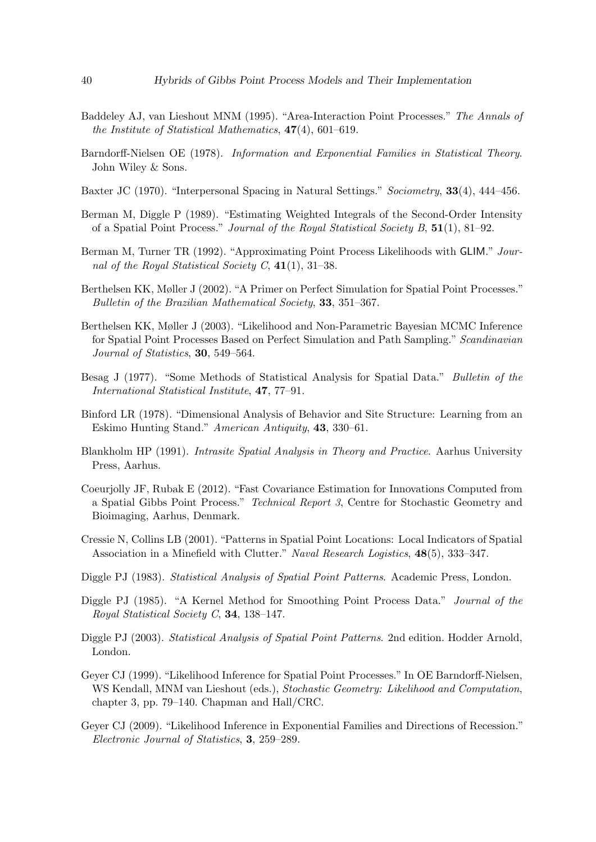- <span id="page-39-3"></span>Baddeley AJ, van Lieshout MNM (1995). "Area-Interaction Point Processes." The Annals of the Institute of Statistical Mathematics, 47(4), 601–619.
- <span id="page-39-4"></span>Barndorff-Nielsen OE (1978). Information and Exponential Families in Statistical Theory. John Wiley & Sons.
- <span id="page-39-13"></span>Baxter JC (1970). "Interpersonal Spacing in Natural Settings." Sociometry, 33(4), 444–456.
- <span id="page-39-15"></span>Berman M, Diggle P (1989). "Estimating Weighted Integrals of the Second-Order Intensity of a Spatial Point Process." Journal of the Royal Statistical Society B, 51(1), 81–92.
- <span id="page-39-7"></span>Berman M, Turner TR (1992). "Approximating Point Process Likelihoods with GLIM." Journal of the Royal Statistical Society C,  $41(1)$ ,  $31-38$ .
- <span id="page-39-9"></span>Berthelsen KK, Møller J (2002). "A Primer on Perfect Simulation for Spatial Point Processes." Bulletin of the Brazilian Mathematical Society, 33, 351–367.
- <span id="page-39-10"></span>Berthelsen KK, Møller J (2003). "Likelihood and Non-Parametric Bayesian MCMC Inference for Spatial Point Processes Based on Perfect Simulation and Path Sampling." Scandinavian Journal of Statistics, 30, 549–564.
- <span id="page-39-5"></span>Besag J (1977). "Some Methods of Statistical Analysis for Spatial Data." *Bulletin of the* International Statistical Institute, 47, 77–91.
- <span id="page-39-12"></span>Binford LR (1978). "Dimensional Analysis of Behavior and Site Structure: Learning from an Eskimo Hunting Stand." American Antiquity, 43, 330–61.
- <span id="page-39-11"></span>Blankholm HP (1991). Intrasite Spatial Analysis in Theory and Practice. Aarhus University Press, Aarhus.
- <span id="page-39-8"></span>Coeurjolly JF, Rubak E (2012). "Fast Covariance Estimation for Innovations Computed from a Spatial Gibbs Point Process." Technical Report 3, Centre for Stochastic Geometry and Bioimaging, Aarhus, Denmark.
- <span id="page-39-16"></span>Cressie N, Collins LB (2001). "Patterns in Spatial Point Locations: Local Indicators of Spatial Association in a Minefield with Clutter." Naval Research Logistics, 48(5), 333–347.
- <span id="page-39-2"></span>Diggle PJ (1983). Statistical Analysis of Spatial Point Patterns. Academic Press, London.
- <span id="page-39-14"></span>Diggle PJ (1985). "A Kernel Method for Smoothing Point Process Data." Journal of the Royal Statistical Society C, 34, 138–147.
- <span id="page-39-0"></span>Diggle PJ (2003). Statistical Analysis of Spatial Point Patterns. 2nd edition. Hodder Arnold, London.
- <span id="page-39-1"></span>Geyer CJ (1999). "Likelihood Inference for Spatial Point Processes." In OE Barndorff-Nielsen, WS Kendall, MNM van Lieshout (eds.), Stochastic Geometry: Likelihood and Computation, chapter 3, pp. 79–140. Chapman and Hall/CRC.
- <span id="page-39-6"></span>Geyer CJ (2009). "Likelihood Inference in Exponential Families and Directions of Recession." Electronic Journal of Statistics, 3, 259–289.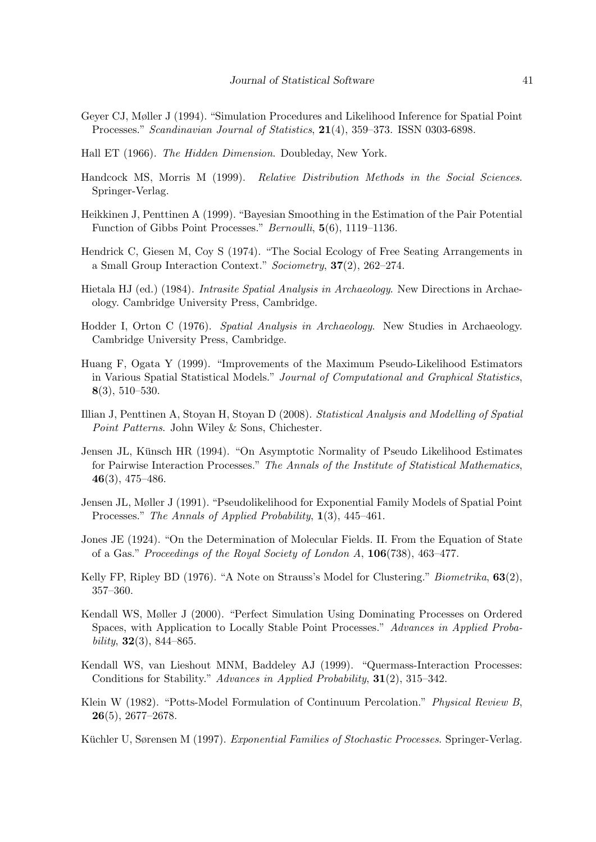- <span id="page-40-1"></span>Geyer CJ, Møller J (1994). "Simulation Procedures and Likelihood Inference for Spatial Point Processes." Scandinavian Journal of Statistics, 21(4), 359–373. ISSN 0303-6898.
- <span id="page-40-15"></span>Hall ET (1966). The Hidden Dimension. Doubleday, New York.
- <span id="page-40-7"></span>Handcock MS, Morris M (1999). Relative Distribution Methods in the Social Sciences. Springer-Verlag.
- <span id="page-40-3"></span>Heikkinen J, Penttinen A (1999). "Bayesian Smoothing in the Estimation of the Pair Potential Function of Gibbs Point Processes." Bernoulli, 5(6), 1119–1136.
- <span id="page-40-16"></span>Hendrick C, Giesen M, Coy S (1974). "The Social Ecology of Free Seating Arrangements in a Small Group Interaction Context." Sociometry, 37(2), 262–274.
- <span id="page-40-13"></span>Hietala HJ (ed.) (1984). Intrasite Spatial Analysis in Archaeology. New Directions in Archaeology. Cambridge University Press, Cambridge.
- <span id="page-40-14"></span>Hodder I, Orton C (1976). Spatial Analysis in Archaeology. New Studies in Archaeology. Cambridge University Press, Cambridge.
- <span id="page-40-11"></span>Huang F, Ogata Y (1999). "Improvements of the Maximum Pseudo-Likelihood Estimators in Various Spatial Statistical Models." Journal of Computational and Graphical Statistics, 8(3), 510–530.
- <span id="page-40-2"></span>Illian J, Penttinen A, Stoyan H, Stoyan D (2008). Statistical Analysis and Modelling of Spatial Point Patterns. John Wiley & Sons, Chichester.
- <span id="page-40-10"></span>Jensen JL, Künsch HR (1994). "On Asymptotic Normality of Pseudo Likelihood Estimates for Pairwise Interaction Processes." The Annals of the Institute of Statistical Mathematics, 46(3), 475–486.
- <span id="page-40-9"></span>Jensen JL, Møller J (1991). "Pseudolikelihood for Exponential Family Models of Spatial Point Processes." The Annals of Applied Probability, 1(3), 445–461.
- <span id="page-40-4"></span>Jones JE (1924). "On the Determination of Molecular Fields. II. From the Equation of State of a Gas." Proceedings of the Royal Society of London A, 106(738), 463–477.
- <span id="page-40-0"></span>Kelly FP, Ripley BD (1976). "A Note on Strauss's Model for Clustering." *Biometrika*, **63**(2), 357–360.
- <span id="page-40-12"></span>Kendall WS, Møller J (2000). "Perfect Simulation Using Dominating Processes on Ordered Spaces, with Application to Locally Stable Point Processes." Advances in Applied Probability,  $32(3)$ ,  $844-865$ .
- <span id="page-40-6"></span>Kendall WS, van Lieshout MNM, Baddeley AJ (1999). "Quermass-Interaction Processes: Conditions for Stability." Advances in Applied Probability, 31(2), 315–342.
- <span id="page-40-5"></span>Klein W (1982). "Potts-Model Formulation of Continuum Percolation." Physical Review B, 26(5), 2677–2678.

<span id="page-40-8"></span>Küchler U, Sørensen M (1997). Exponential Families of Stochastic Processes. Springer-Verlag.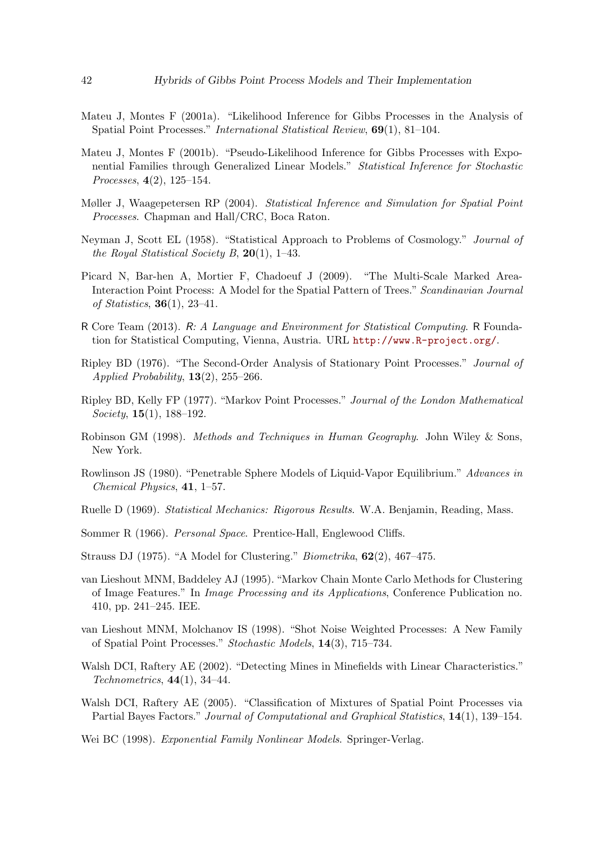- <span id="page-41-10"></span>Mateu J, Montes F (2001a). "Likelihood Inference for Gibbs Processes in the Analysis of Spatial Point Processes." International Statistical Review, 69(1), 81–104.
- <span id="page-41-11"></span>Mateu J, Montes F (2001b). "Pseudo-Likelihood Inference for Gibbs Processes with Exponential Families through Generalized Linear Models." Statistical Inference for Stochastic Processes, 4(2), 125–154.
- <span id="page-41-0"></span>Møller J, Waagepetersen RP (2004). Statistical Inference and Simulation for Spatial Point Processes. Chapman and Hall/CRC, Boca Raton.
- <span id="page-41-14"></span>Neyman J, Scott EL (1958). "Statistical Approach to Problems of Cosmology." Journal of the Royal Statistical Society B,  $20(1)$ , 1–43.
- <span id="page-41-2"></span>Picard N, Bar-hen A, Mortier F, Chadoeuf J (2009). "The Multi-Scale Marked Area-Interaction Point Process: A Model for the Spatial Pattern of Trees." Scandinavian Journal of Statistics,  $36(1)$ ,  $23-41$ .
- <span id="page-41-1"></span>R Core Team (2013). R: A Language and Environment for Statistical Computing. R Foundation for Statistical Computing, Vienna, Austria. URL <http://www.R-project.org/>.
- <span id="page-41-8"></span>Ripley BD (1976). "The Second-Order Analysis of Stationary Point Processes." Journal of Applied Probability,  $13(2)$ ,  $255-266$ .
- <span id="page-41-4"></span>Ripley BD, Kelly FP (1977). "Markov Point Processes." Journal of the London Mathematical Society,  $15(1)$ ,  $188-192$ .
- <span id="page-41-12"></span>Robinson GM (1998). Methods and Techniques in Human Geography. John Wiley & Sons, New York.
- <span id="page-41-6"></span>Rowlinson JS (1980). "Penetrable Sphere Models of Liquid-Vapor Equilibrium." Advances in Chemical Physics, 41, 1–57.
- <span id="page-41-5"></span>Ruelle D (1969). Statistical Mechanics: Rigorous Results. W.A. Benjamin, Reading, Mass.
- <span id="page-41-13"></span>Sommer R (1966). Personal Space. Prentice-Hall, Englewood Cliffs.
- <span id="page-41-3"></span>Strauss DJ (1975). "A Model for Clustering." Biometrika, 62(2), 467–475.
- <span id="page-41-17"></span>van Lieshout MNM, Baddeley AJ (1995). "Markov Chain Monte Carlo Methods for Clustering of Image Features." In Image Processing and its Applications, Conference Publication no. 410, pp. 241–245. IEE.
- <span id="page-41-7"></span>van Lieshout MNM, Molchanov IS (1998). "Shot Noise Weighted Processes: A New Family of Spatial Point Processes." Stochastic Models, 14(3), 715–734.
- <span id="page-41-15"></span>Walsh DCI, Raftery AE (2002). "Detecting Mines in Minefields with Linear Characteristics."  $Technometrics, 44(1), 34-44.$
- <span id="page-41-16"></span>Walsh DCI, Raftery AE (2005). "Classification of Mixtures of Spatial Point Processes via Partial Bayes Factors." Journal of Computational and Graphical Statistics, 14(1), 139–154.
- <span id="page-41-9"></span>Wei BC (1998). Exponential Family Nonlinear Models. Springer-Verlag.